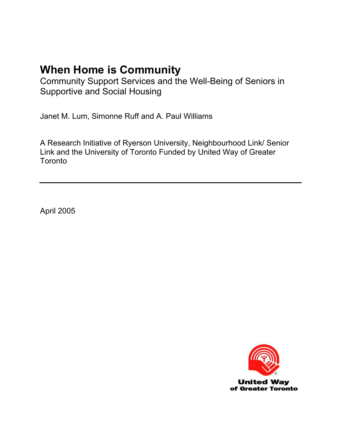Community Support Services and the Well-Being of Seniors in Supportive and Social Housing

Janet M. Lum, Simonne Ruff and A. Paul Williams

A Research Initiative of Ryerson University, Neighbourhood Link/ Senior Link and the University of Toronto Funded by United Way of Greater **Toronto** 

April 2005

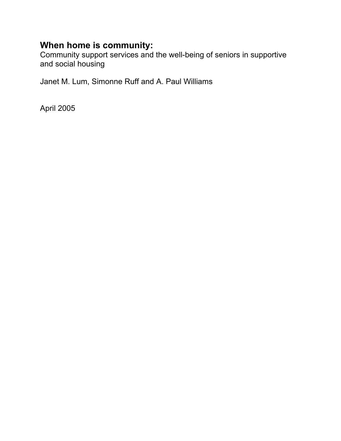Community support services and the well-being of seniors in supportive and social housing

Janet M. Lum, Simonne Ruff and A. Paul Williams

April 2005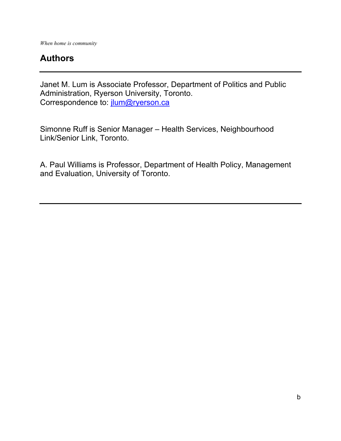## **Authors**

Janet M. Lum is Associate Professor, Department of Politics and Public Administration, Ryerson University, Toronto. Correspondence to: [jlum@ryerson.ca](mailto:jlum@ryerson.ca)

Simonne Ruff is Senior Manager – Health Services, Neighbourhood Link/Senior Link, Toronto.

A. Paul Williams is Professor, Department of Health Policy, Management and Evaluation, University of Toronto.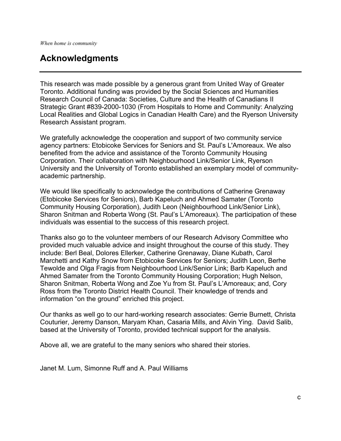## **Acknowledgments**

This research was made possible by a generous grant from United Way of Greater Toronto. Additional funding was provided by the Social Sciences and Humanities Research Council of Canada: Societies, Culture and the Health of Canadians II Strategic Grant #839-2000-1030 (From Hospitals to Home and Community: Analyzing Local Realities and Global Logics in Canadian Health Care) and the Ryerson University Research Assistant program.

We gratefully acknowledge the cooperation and support of two community service agency partners: Etobicoke Services for Seniors and St. Paul's L'Amoreaux. We also benefited from the advice and assistance of the Toronto Community Housing Corporation. Their collaboration with Neighbourhood Link/Senior Link, Ryerson University and the University of Toronto established an exemplary model of communityacademic partnership.

We would like specifically to acknowledge the contributions of Catherine Grenaway (Etobicoke Services for Seniors), Barb Kapeluch and Ahmed Samater (Toronto Community Housing Corporation), Judith Leon (Neighbourhood Link/Senior Link), Sharon Snitman and Roberta Wong (St. Paul's L'Amoreaux). The participation of these individuals was essential to the success of this research project.

Thanks also go to the volunteer members of our Research Advisory Committee who provided much valuable advice and insight throughout the course of this study. They include: Berl Beal, Dolores Ellerker, Catherine Grenaway, Diane Kubath, Carol Marchetti and Kathy Snow from Etobicoke Services for Seniors; Judith Leon, Berhe Tewolde and Olga Fragis from Neighbourhood Link/Senior Link; Barb Kapeluch and Ahmed Samater from the Toronto Community Housing Corporation; Hugh Nelson, Sharon Snitman, Roberta Wong and Zoe Yu from St. Paul's L'Amoreaux; and, Cory Ross from the Toronto District Health Council. Their knowledge of trends and information "on the ground" enriched this project.

Our thanks as well go to our hard-working research associates: Gerrie Burnett, Christa Couturier, Jeremy Danson, Maryam Khan, Casaria Mills, and Alvin Ying. David Salib, based at the University of Toronto, provided technical support for the analysis.

Above all, we are grateful to the many seniors who shared their stories.

Janet M. Lum, Simonne Ruff and A. Paul Williams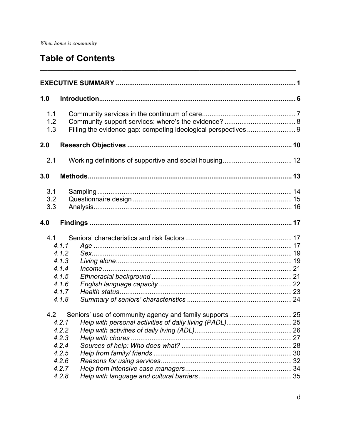## **Table of Contents**

| 1.0               |                                                                      |    |
|-------------------|----------------------------------------------------------------------|----|
| 1.1<br>1.2<br>1.3 |                                                                      |    |
| 2.0               |                                                                      |    |
| 2.1               |                                                                      |    |
| 3.0               |                                                                      |    |
| 3.1<br>3.2<br>3.3 |                                                                      |    |
| 4.0               |                                                                      |    |
| 4.1               | 4.1.1<br>4.1.2<br>4.1.3<br>4.1.4<br>4.1.5<br>4.1.6<br>4.1.7<br>4.1.8 |    |
| 4.2               | 4.2.1<br>4.2.2<br>4.2.3<br>4.2.4<br>4.2.5<br>4.2.6<br>4.2.7<br>4.2.8 | 26 |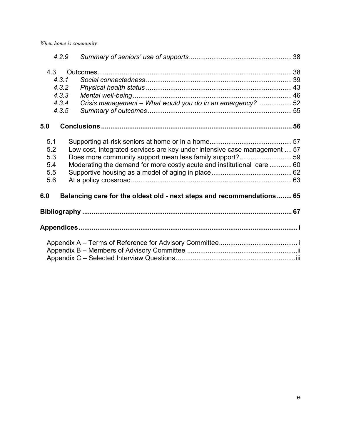| 4.2.9 |                                                                           |  |
|-------|---------------------------------------------------------------------------|--|
| 4.3   |                                                                           |  |
| 4.3.1 |                                                                           |  |
| 4.3.2 |                                                                           |  |
| 4.3.3 |                                                                           |  |
| 4.3.4 | Crisis management - What would you do in an emergency? 52                 |  |
| 4.3.5 |                                                                           |  |
| 5.0   |                                                                           |  |
| 5.1   |                                                                           |  |
| 5.2   | Low cost, integrated services are key under intensive case management  57 |  |
| 5.3   | Does more community support mean less family support?59                   |  |
| 5.4   | Moderating the demand for more costly acute and institutional care  60    |  |
| 5.5   |                                                                           |  |
| 5.6   |                                                                           |  |
| 6.0   | Balancing care for the oldest old - next steps and recommendations 65     |  |
|       |                                                                           |  |
|       |                                                                           |  |
|       |                                                                           |  |
|       |                                                                           |  |
|       |                                                                           |  |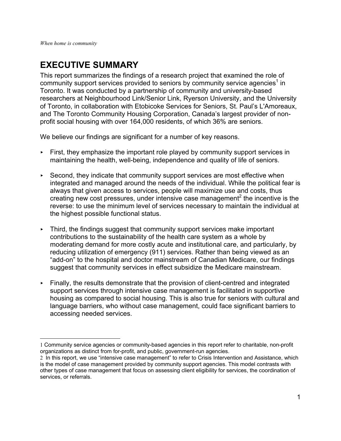$\overline{a}$ 

## <span id="page-6-0"></span>**EXECUTIVE SUMMARY**

This report summarizes the findings of a research project that examined the role of community support services provided to seniors by community service agencies<sup>[1](#page-6-1)</sup> in Toronto. It was conducted by a partnership of community and university-based researchers at Neighbourhood Link/Senior Link, Ryerson University, and the University of Toronto, in collaboration with Etobicoke Services for Seniors, St. Paul's L'Amoreaux, and The Toronto Community Housing Corporation, Canada's largest provider of nonprofit social housing with over 164,000 residents, of which 36% are seniors.

We believe our findings are significant for a number of key reasons.

- $\triangleright$  First, they emphasize the important role played by community support services in maintaining the health, well-being, independence and quality of life of seniors.
- $\triangleright$  Second, they indicate that community support services are most effective when integrated and managed around the needs of the individual. While the political fear is always that given access to services, people will maximize use and costs, thus creating new cost pressures, under intensive case management<sup>[2](#page-6-2)</sup> the incentive is the reverse: to use the minimum level of services necessary to maintain the individual at the highest possible functional status.
- $\triangleright$  Third, the findings suggest that community support services make important contributions to the sustainability of the health care system as a whole by moderating demand for more costly acute and institutional care, and particularly, by reducing utilization of emergency (911) services. Rather than being viewed as an "add-on" to the hospital and doctor mainstream of Canadian Medicare, our findings suggest that community services in effect subsidize the Medicare mainstream.
- $\triangleright$  Finally, the results demonstrate that the provision of client-centred and integrated support services through intensive case management is facilitated in supportive housing as compared to social housing. This is also true for seniors with cultural and language barriers, who without case management, could face significant barriers to accessing needed services.

<span id="page-6-1"></span><sup>1</sup> Community service agencies or community-based agencies in this report refer to charitable, non-profit organizations as distinct from for-profit, and public, government-run agencies.

<span id="page-6-2"></span><sup>2</sup> In this report, we use "intensive case management" to refer to Crisis Intervention and Assistance, which is the model of case management provided by community support agencies. This model contrasts with other types of case management that focus on assessing client eligibility for services, the coordination of services, or referrals.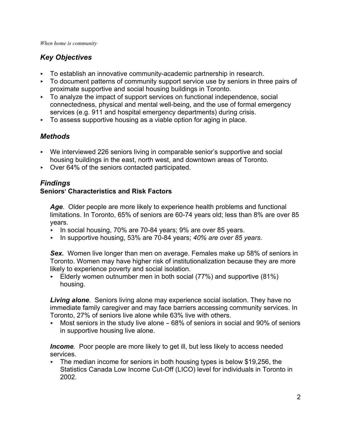## *Key Objectives*

- $\triangleright$  To establish an innovative community-academic partnership in research.
- $\triangleright$  To document patterns of community support service use by seniors in three pairs of proximate supportive and social housing buildings in Toronto.
- $\triangleright$  To analyze the impact of support services on functional independence, social connectedness, physical and mental well-being, and the use of formal emergency services (e.g. 911 and hospital emergency departments) during crisis.
- $\triangleright$  To assess supportive housing as a viable option for aging in place.

## *Methods*

- ► We interviewed 226 seniors living in comparable senior's supportive and social housing buildings in the east, north west, and downtown areas of Toronto.
- ▶ Over 64% of the seniors contacted participated.

## *Findings*

## **Seniors**= **Characteristics and Risk Factors**

*Age*. Older people are more likely to experience health problems and functional limitations. In Toronto, 65% of seniors are 60-74 years old; less than 8% are over 85 years.

- ► In social housing, 70% are 70-84 years; 9% are over 85 years.
- < In supportive housing, 53% are 70-84 years; *40% are over 85 years*.

**Sex.** Women live longer than men on average. Females make up 58% of seniors in Toronto. Women may have higher risk of institutionalization because they are more likely to experience poverty and social isolation.

Elderly women outnumber men in both social  $(77%)$  and supportive  $(81%)$ housing.

*Living alone*. Seniors living alone may experience social isolation. They have no immediate family caregiver and may face barriers accessing community services. In Toronto, 27% of seniors live alone while 63% live with others.

 $\sim$  Most seniors in the study live alone – 68% of seniors in social and 90% of seniors in supportive housing live alone.

*Income.* Poor people are more likely to get ill, but less likely to access needed services.

 $\blacktriangleright$  The median income for seniors in both housing types is below \$19,256, the Statistics Canada Low Income Cut-Off (LICO) level for individuals in Toronto in 2002.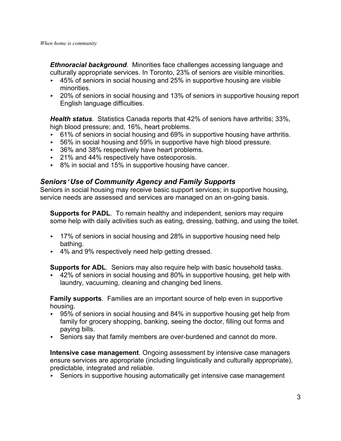*Ethnoracial background.* Minorities face challenges accessing language and culturally appropriate services. In Toronto, 23% of seniors are visible minorities.

- $\sim$  45% of seniors in social housing and 25% in supportive housing are visible minorities.
- $\sim$  20% of seniors in social housing and 13% of seniors in supportive housing report English language difficulties.

*Health status*. Statistics Canada reports that 42% of seniors have arthritis; 33%, high blood pressure; and, 16%, heart problems.

- $\triangleright$  61% of seniors in social housing and 69% in supportive housing have arthritis.
- $\cdot$  56% in social housing and 59% in supportive have high blood pressure.
- ▶ 36% and 38% respectively have heart problems.
- ▶ 21% and 44% respectively have osteoporosis.
- $\triangleright$  8% in social and 15% in supportive housing have cancer.

### *Seniors*= *Use of Community Agency and Family Supports*

Seniors in social housing may receive basic support services; in supportive housing, service needs are assessed and services are managed on an on-going basis.

**Supports for PADL**. To remain healthy and independent, seniors may require some help with daily activities such as eating, dressing, bathing, and using the toilet.

- $\sim$  17% of seniors in social housing and 28% in supportive housing need help bathing.
- ► 4% and 9% respectively need help getting dressed.

**Supports for ADL**. Seniors may also require help with basic household tasks.

 $\sim$  42% of seniors in social housing and 80% in supportive housing, get help with laundry, vacuuming, cleaning and changing bed linens.

**Family supports**. Families are an important source of help even in supportive housing.

- $\sim$  95% of seniors in social housing and 84% in supportive housing get help from family for grocery shopping, banking, seeing the doctor, filling out forms and paying bills.
- < Seniors say that family members are over-burdened and cannot do more.

**Intensive case management**. Ongoing assessment by intensive case managers ensure services are appropriate (including linguistically and culturally appropriate), predictable, integrated and reliable.

 $\triangleright$  Seniors in supportive housing automatically get intensive case management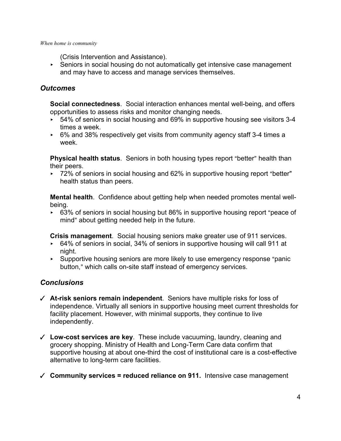(Crisis Intervention and Assistance).

► Seniors in social housing do not automatically get intensive case management and may have to access and manage services themselves.

### *Outcomes*

**Social connectedness**. Social interaction enhances mental well-being, and offers opportunities to assess risks and monitor changing needs.

- $\rightarrow$  54% of seniors in social housing and 69% in supportive housing see visitors 3-4 times a week.
- ► 6% and 38% respectively get visits from community agency staff 3-4 times a week.

**Physical health status**. Seniors in both housing types report "better" health than their peers.

 $\rightarrow$  72% of seniors in social housing and 62% in supportive housing report "better" health status than peers.

**Mental health**. Confidence about getting help when needed promotes mental wellbeing.

 $\cdot$  63% of seniors in social housing but 86% in supportive housing report "peace of mind" about getting needed help in the future.

**Crisis management**. Social housing seniors make greater use of 911 services.

- ► 64% of seniors in social, 34% of seniors in supportive housing will call 911 at night.
- $\blacktriangleright$  Supportive housing seniors are more likely to use emergency response "panic button," which calls on-site staff instead of emergency services.

## *Conclusions*

- $\checkmark$  At-risk seniors remain independent. Seniors have multiple risks for loss of independence. Virtually all seniors in supportive housing meet current thresholds for facility placement. However, with minimal supports, they continue to live independently.
- T **Low-cost services are key**. These include vacuuming, laundry, cleaning and grocery shopping. Ministry of Health and Long-Term Care data confirm that supportive housing at about one-third the cost of institutional care is a cost-effective alternative to long-term care facilities.
- T **Community services = reduced reliance on 911.** Intensive case management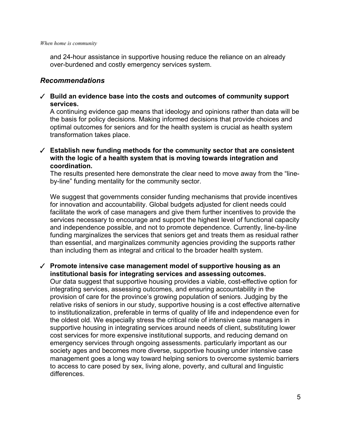and 24-hour assistance in supportive housing reduce the reliance on an already over-burdened and costly emergency services system.

#### *Recommendations*

T **Build an evidence base into the costs and outcomes of community support services.** 

A continuing evidence gap means that ideology and opinions rather than data will be the basis for policy decisions. Making informed decisions that provide choices and optimal outcomes for seniors and for the health system is crucial as health system transformation takes place.

T **Establish new funding methods for the community sector that are consistent with the logic of a health system that is moving towards integration and coordination.** 

The results presented here demonstrate the clear need to move away from the "lineby-line" funding mentality for the community sector.

We suggest that governments consider funding mechanisms that provide incentives for innovation and accountability. Global budgets adjusted for client needs could facilitate the work of case managers and give them further incentives to provide the services necessary to encourage and support the highest level of functional capacity and independence possible, and not to promote dependence. Currently, line-by-line funding marginalizes the services that seniors get and treats them as residual rather than essential, and marginalizes community agencies providing the supports rather than including them as integral and critical to the broader health system.

T **Promote intensive case management model of supportive housing as an institutional basis for integrating services and assessing outcomes.**  Our data suggest that supportive housing provides a viable, cost-effective option for

integrating services, assessing outcomes, and ensuring accountability in the provision of care for the province's growing population of seniors. Judging by the relative risks of seniors in our study, supportive housing is a cost effective alternative to institutionalization, preferable in terms of quality of life and independence even for the oldest old. We especially stress the critical role of intensive case managers in supportive housing in integrating services around needs of client, substituting lower cost services for more expensive institutional supports, and reducing demand on emergency services through ongoing assessments. particularly important as our society ages and becomes more diverse, supportive housing under intensive case management goes a long way toward helping seniors to overcome systemic barriers to access to care posed by sex, living alone, poverty, and cultural and linguistic differences.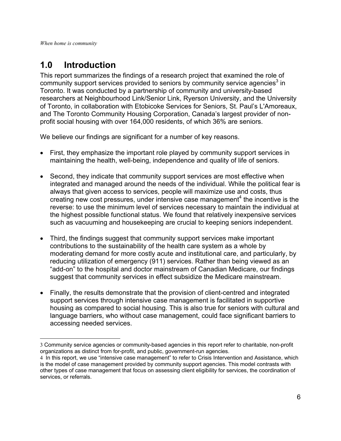$\overline{a}$ 

## <span id="page-11-0"></span>**1.0 Introduction**

This report summarizes the findings of a research project that examined the role of community support services provided to seniors by community service agencies<sup>[3](#page-11-1)</sup> in Toronto. It was conducted by a partnership of community and university-based researchers at Neighbourhood Link/Senior Link, Ryerson University, and the University of Toronto, in collaboration with Etobicoke Services for Seniors, St. Paul's L'Amoreaux, and The Toronto Community Housing Corporation, Canada's largest provider of nonprofit social housing with over 164,000 residents, of which 36% are seniors.

We believe our findings are significant for a number of key reasons.

- First, they emphasize the important role played by community support services in maintaining the health, well-being, independence and quality of life of seniors.
- Second, they indicate that community support services are most effective when integrated and managed around the needs of the individual. While the political fear is always that given access to services, people will maximize use and costs, thus creating new cost pressures, under intensive case management<sup>[4](#page-11-2)</sup> the incentive is the reverse: to use the minimum level of services necessary to maintain the individual at the highest possible functional status. We found that relatively inexpensive services such as vacuuming and housekeeping are crucial to keeping seniors independent.
- Third, the findings suggest that community support services make important contributions to the sustainability of the health care system as a whole by moderating demand for more costly acute and institutional care, and particularly, by reducing utilization of emergency (911) services. Rather than being viewed as an "add-on" to the hospital and doctor mainstream of Canadian Medicare, our findings suggest that community services in effect subsidize the Medicare mainstream.
- Finally, the results demonstrate that the provision of client-centred and integrated support services through intensive case management is facilitated in supportive housing as compared to social housing. This is also true for seniors with cultural and language barriers, who without case management, could face significant barriers to accessing needed services.

<span id="page-11-1"></span><sup>3</sup> Community service agencies or community-based agencies in this report refer to charitable, non-profit organizations as distinct from for-profit, and public, government-run agencies.

<span id="page-11-2"></span><sup>4</sup> In this report, we use "intensive case management" to refer to Crisis Intervention and Assistance, which is the model of case management provided by community support agencies. This model contrasts with other types of case management that focus on assessing client eligibility for services, the coordination of services, or referrals.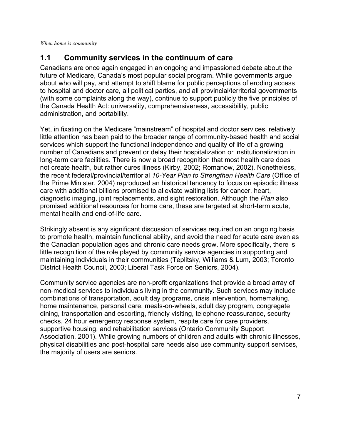## <span id="page-12-0"></span>**1.1 Community services in the continuum of care**

Canadians are once again engaged in an ongoing and impassioned debate about the future of Medicare, Canada's most popular social program. While governments argue about who will pay, and attempt to shift blame for public perceptions of eroding access to hospital and doctor care, all political parties, and all provincial/territorial governments (with some complaints along the way), continue to support publicly the five principles of the Canada Health Act: universality, comprehensiveness, accessibility, public administration, and portability.

Yet, in fixating on the Medicare "mainstream" of hospital and doctor services, relatively little attention has been paid to the broader range of community-based health and social services which support the functional independence and quality of life of a growing number of Canadians and prevent or delay their hospitalization or institutionalization in long-term care facilities. There is now a broad recognition that most health care does not create health, but rather cures illness (Kirby, 2002; Romanow, 2002). Nonetheless, the recent federal/provincial/territorial *10-Year Plan to Strengthen Health Care* (Office of the Prime Minister, 2004) reproduced an historical tendency to focus on episodic illness care with additional billions promised to alleviate waiting lists for cancer, heart, diagnostic imaging, joint replacements, and sight restoration. Although the *Plan* also promised additional resources for home care, these are targeted at short-term acute, mental health and end-of-life care.

Strikingly absent is any significant discussion of services required on an ongoing basis to promote health, maintain functional ability, and avoid the need for acute care even as the Canadian population ages and chronic care needs grow. More specifically, there is little recognition of the role played by community service agencies in supporting and maintaining individuals in their communities (Teplitsky, Williams & Lum, 2003; Toronto District Health Council, 2003; Liberal Task Force on Seniors, 2004).

Community service agencies are non-profit organizations that provide a broad array of non-medical services to individuals living in the community. Such services may include combinations of transportation, adult day programs, crisis intervention, homemaking, home maintenance, personal care, meals-on-wheels, adult day program, congregate dining, transportation and escorting, friendly visiting, telephone reassurance, security checks, 24 hour emergency response system, respite care for care providers, supportive housing, and rehabilitation services (Ontario Community Support Association, 2001). While growing numbers of children and adults with chronic illnesses, physical disabilities and post-hospital care needs also use community support services, the majority of users are seniors.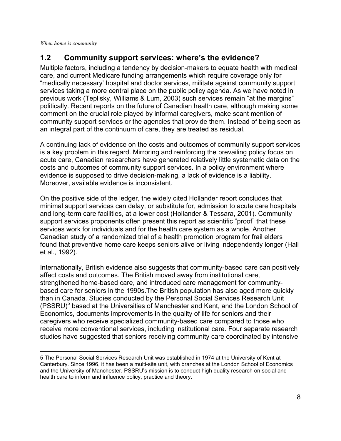1

## <span id="page-13-0"></span>**1.2 Community support services: where's the evidence?**

Multiple factors, including a tendency by decision-makers to equate health with medical care, and current Medicare funding arrangements which require coverage only for "medically necessary' hospital and doctor services, militate against community support services taking a more central place on the public policy agenda. As we have noted in previous work (Teplisky, Williams & Lum, 2003) such services remain "at the margins" politically. Recent reports on the future of Canadian health care, although making some comment on the crucial role played by informal caregivers, make scant mention of community support services or the agencies that provide them. Instead of being seen as an integral part of the continuum of care, they are treated as residual.

A continuing lack of evidence on the costs and outcomes of community support services is a key problem in this regard. Mirroring and reinforcing the prevailing policy focus on acute care, Canadian researchers have generated relatively little systematic data on the costs and outcomes of community support services. In a policy environment where evidence is supposed to drive decision-making, a lack of evidence is a liability. Moreover, available evidence is inconsistent.

On the positive side of the ledger, the widely cited Hollander report concludes that minimal support services can delay, or substitute for, admission to acute care hospitals and long-term care facilities, at a lower cost (Hollander & Tessara, 2001). Community support services proponents often present this report as scientific "proof" that these services work for individuals and for the health care system as a whole. Another Canadian study of a randomized trial of a health promotion program for frail elders found that preventive home care keeps seniors alive or living independently longer (Hall et al., 1992).

Internationally, British evidence also suggests that community-based care can positively affect costs and outcomes. The British moved away from institutional care, strengthened home-based care, and introduced care management for communitybased care for seniors in the 1990s.The British population has also aged more quickly than in Canada. Studies conducted by the Personal Social Services Research Unit (PSSRU)<sup>[5](#page-13-1)</sup> based at the Universities of Manchester and Kent, and the London School of Economics, documents improvements in the quality of life for seniors and their caregivers who receive specialized community-based care compared to those who receive more conventional services, including institutional care. Four separate research studies have suggested that seniors receiving community care coordinated by intensive

<span id="page-13-1"></span><sup>5</sup> The Personal Social Services Research Unit was established in 1974 at the University of Kent at Canterbury. Since 1996, it has been a multi-site unit, with branches at the London School of Economics and the University of Manchester. PSSRU's mission is to conduct high quality research on social and health care to inform and influence policy, practice and theory.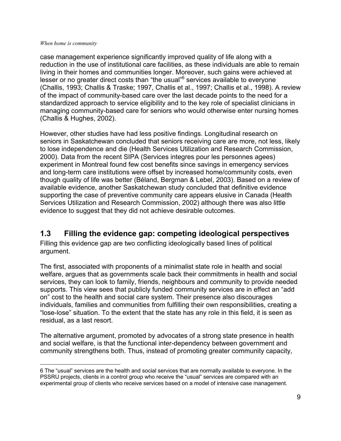<span id="page-14-0"></span>case management experience significantly improved quality of life along with a reduction in the use of institutional care facilities, as these individuals are able to remain living in their homes and communities longer. Moreover, such gains were achieved at lesser or no greater direct costs than "the usual"<sup>[6](#page-14-1)</sup> services available to everyone (Challis, 1993; Challis & Traske; 1997, Challis et al., 1997; Challis et al., 1998). A review of the impact of community-based care over the last decade points to the need for a standardized approach to service eligibility and to the key role of specialist clinicians in managing community-based care for seniors who would otherwise enter nursing homes (Challis & Hughes, 2002).

However, other studies have had less positive findings. Longitudinal research on seniors in Saskatchewan concluded that seniors receiving care are more, not less, likely to lose independence and die (Health Services Utilization and Research Commission, 2000). Data from the recent SIPA (Services integres pour les personnes agees) experiment in Montreal found few cost benefits since savings in emergency services and long-term care institutions were offset by increased home/community costs, even though quality of life was better (Béland, Bergman & Lebel, 2003). Based on a review of available evidence, another Saskatchewan study concluded that definitive evidence supporting the case of preventive community care appears elusive in Canada (Health Services Utilization and Research Commission, 2002) although there was also little evidence to suggest that they did not achieve desirable outcomes.

## **1.3 Filling the evidence gap: competing ideological perspectives**

Filling this evidence gap are two conflicting ideologically based lines of political argument.

The first, associated with proponents of a minimalist state role in health and social welfare, argues that as governments scale back their commitments in health and social services, they can look to family, friends, neighbours and community to provide needed supports. This view sees that publicly funded community services are in effect an "add on" cost to the health and social care system. Their presence also discourages individuals, families and communities from fulfilling their own responsibilities, creating a "lose-lose" situation. To the extent that the state has any role in this field, it is seen as residual, as a last resort.

The alternative argument, promoted by advocates of a strong state presence in health and social welfare, is that the functional inter-dependency between government and community strengthens both. Thus, instead of promoting greater community capacity,

<span id="page-14-1"></span> $\overline{a}$ 6 The "usual" services are the health and social services that are normally available to everyone. In the PSSRU projects, clients in a control group who receive the "usual" services are compared with an experimental group of clients who receive services based on a model of intensive case management.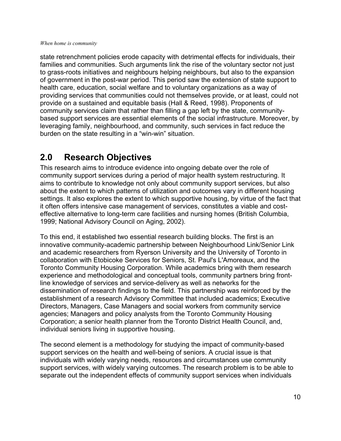<span id="page-15-0"></span>state retrenchment policies erode capacity with detrimental effects for individuals, their families and communities. Such arguments link the rise of the voluntary sector not just to grass-roots initiatives and neighbours helping neighbours, but also to the expansion of government in the post-war period. This period saw the extension of state support to health care, education, social welfare and to voluntary organizations as a way of providing services that communities could not themselves provide, or at least, could not provide on a sustained and equitable basis (Hall & Reed, 1998). Proponents of community services claim that rather than filling a gap left by the state, communitybased support services are essential elements of the social infrastructure. Moreover, by leveraging family, neighbourhood, and community, such services in fact reduce the burden on the state resulting in a "win-win" situation.

## **2.0 Research Objectives**

This research aims to introduce evidence into ongoing debate over the role of community support services during a period of major health system restructuring. It aims to contribute to knowledge not only about community support services, but also about the extent to which patterns of utilization and outcomes vary in different housing settings. It also explores the extent to which supportive housing, by virtue of the fact that it often offers intensive case management of services, constitutes a viable and costeffective alternative to long-term care facilities and nursing homes (British Columbia, 1999; National Advisory Council on Aging, 2002).

To this end, it established two essential research building blocks. The first is an innovative community-academic partnership between Neighbourhood Link/Senior Link and academic researchers from Ryerson University and the University of Toronto in collaboration with Etobicoke Services for Seniors, St. Paul's L'Amoreaux, and the Toronto Community Housing Corporation. While academics bring with them research experience and methodological and conceptual tools, community partners bring frontline knowledge of services and service-delivery as well as networks for the dissemination of research findings to the field. This partnership was reinforced by the establishment of a research Advisory Committee that included academics; Executive Directors, Managers, Case Managers and social workers from community service agencies; Managers and policy analysts from the Toronto Community Housing Corporation; a senior health planner from the Toronto District Health Council, and, individual seniors living in supportive housing.

The second element is a methodology for studying the impact of community-based support services on the health and well-being of seniors. A crucial issue is that individuals with widely varying needs, resources and circumstances use community support services, with widely varying outcomes. The research problem is to be able to separate out the independent effects of community support services when individuals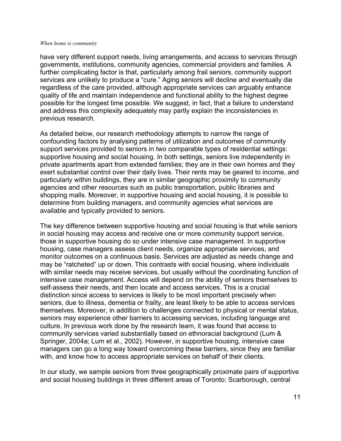have very different support needs, living arrangements, and access to services through governments, institutions, community agencies, commercial providers and families. A further complicating factor is that, particularly among frail seniors, community support services are unlikely to produce a "cure." Aging seniors will decline and eventually die regardless of the care provided, although appropriate services can arguably enhance quality of life and maintain independence and functional ability to the highest degree possible for the longest time possible. We suggest, in fact, that a failure to understand and address this complexity adequately may partly explain the inconsistencies in previous research.

As detailed below, our research methodology attempts to narrow the range of confounding factors by analysing patterns of utilization and outcomes of community support services provided to seniors in two comparable types of residential settings: supportive housing and social housing. In both settings, seniors live independently in private apartments apart from extended families; they are in their own homes and they exert substantial control over their daily lives. Their rents may be geared to income, and particularly within buildings, they are in similar geographic proximity to community agencies and other resources such as public transportation, public libraries and shopping malls. Moreover, in supportive housing and social housing, it is possible to determine from building managers, and community agencies what services are available and typically provided to seniors.

The key difference between supportive housing and social housing is that while seniors in social housing may access and receive one or more community support service, those in supportive housing do so under intensive case management. In supportive housing, case managers assess client needs, organize appropriate services, and monitor outcomes on a continuous basis. Services are adjusted as needs change and may be "ratcheted" up or down. This contrasts with social housing, where individuals with similar needs may receive services, but usually without the coordinating function of intensive case management. Access will depend on the ability of seniors themselves to self-assess their needs, and then locate and access services. This is a crucial distinction since access to services is likely to be most important precisely when seniors, due to illness, dementia or frailty, are least likely to be able to access services themselves. Moreover, in addition to challenges connected to physical or mental status, seniors may experience other barriers to accessing services, including language and culture. In previous work done by the research team, it was found that access to community services varied substantially based on ethnoracial background (Lum & Springer, 2004a; Lum et al., 2002). However, in supportive housing, intensive case managers can go a long way toward overcoming these barriers, since they are familiar with, and know how to access appropriate services on behalf of their clients.

In our study, we sample seniors from three geographically proximate pairs of supportive and social housing buildings in three different areas of Toronto: Scarborough, central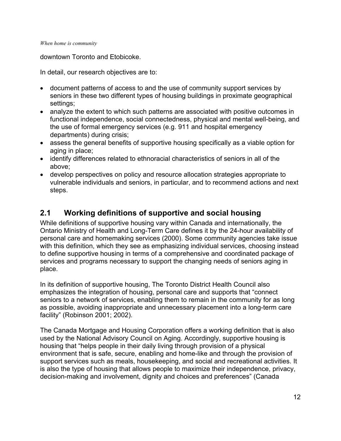<span id="page-17-0"></span>downtown Toronto and Etobicoke.

In detail, our research objectives are to:

- document patterns of access to and the use of community support services by seniors in these two different types of housing buildings in proximate geographical settings;
- analyze the extent to which such patterns are associated with positive outcomes in functional independence, social connectedness, physical and mental well-being, and the use of formal emergency services (e.g. 911 and hospital emergency departments) during crisis;
- assess the general benefits of supportive housing specifically as a viable option for aging in place;
- identify differences related to ethnoracial characteristics of seniors in all of the above;
- develop perspectives on policy and resource allocation strategies appropriate to vulnerable individuals and seniors, in particular, and to recommend actions and next steps.

## **2.1 Working definitions of supportive and social housing**

While definitions of supportive housing vary within Canada and internationally, the Ontario Ministry of Health and Long-Term Care defines it by the 24-hour availability of personal care and homemaking services (2000). Some community agencies take issue with this definition, which they see as emphasizing individual services, choosing instead to define supportive housing in terms of a comprehensive and coordinated package of services and programs necessary to support the changing needs of seniors aging in place.

In its definition of supportive housing, The Toronto District Health Council also emphasizes the integration of housing, personal care and supports that "connect seniors to a network of services, enabling them to remain in the community for as long as possible, avoiding inappropriate and unnecessary placement into a long-term care facility" (Robinson 2001; 2002).

The Canada Mortgage and Housing Corporation offers a working definition that is also used by the National Advisory Council on Aging. Accordingly, supportive housing is housing that "helps people in their daily living through provision of a physical environment that is safe, secure, enabling and home-like and through the provision of support services such as meals, housekeeping, and social and recreational activities. It is also the type of housing that allows people to maximize their independence, privacy, decision-making and involvement, dignity and choices and preferences" (Canada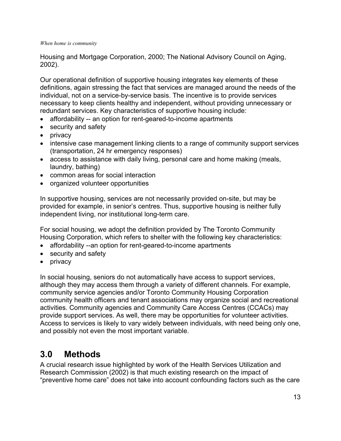<span id="page-18-0"></span>Housing and Mortgage Corporation, 2000; The National Advisory Council on Aging, 2002).

Our operational definition of supportive housing integrates key elements of these definitions, again stressing the fact that services are managed around the needs of the individual, not on a service-by-service basis. The incentive is to provide services necessary to keep clients healthy and independent, without providing unnecessary or redundant services. Key characteristics of supportive housing include:

- affordability -- an option for rent-geared-to-income apartments
- security and safety
- privacy
- intensive case management linking clients to a range of community support services (transportation, 24 hr emergency responses)
- access to assistance with daily living, personal care and home making (meals, laundry, bathing)
- common areas for social interaction
- organized volunteer opportunities

In supportive housing, services are not necessarily provided on-site, but may be provided for example, in senior's centres. Thus, supportive housing is neither fully independent living, nor institutional long-term care.

For social housing, we adopt the definition provided by The Toronto Community Housing Corporation, which refers to shelter with the following key characteristics:

- affordability --an option for rent-geared-to-income apartments
- security and safety
- privacy

In social housing, seniors do not automatically have access to support services, although they may access them through a variety of different channels. For example, community service agencies and/or Toronto Community Housing Corporation community health officers and tenant associations may organize social and recreational activities. Community agencies and Community Care Access Centres (CCACs) may provide support services. As well, there may be opportunities for volunteer activities. Access to services is likely to vary widely between individuals, with need being only one, and possibly not even the most important variable.

## **3.0 Methods**

A crucial research issue highlighted by work of the Health Services Utilization and Research Commission (2002) is that much existing research on the impact of "preventive home care" does not take into account confounding factors such as the care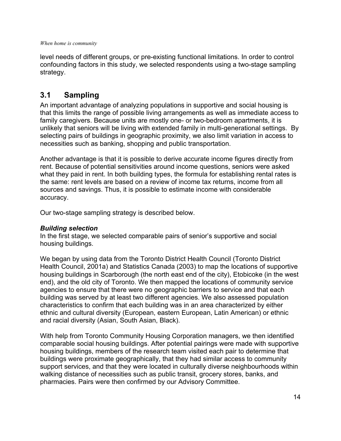<span id="page-19-0"></span>level needs of different groups, or pre-existing functional limitations. In order to control confounding factors in this study, we selected respondents using a two-stage sampling strategy.

## **3.1 Sampling**

An important advantage of analyzing populations in supportive and social housing is that this limits the range of possible living arrangements as well as immediate access to family caregivers. Because units are mostly one- or two-bedroom apartments, it is unlikely that seniors will be living with extended family in multi-generational settings. By selecting pairs of buildings in geographic proximity, we also limit variation in access to necessities such as banking, shopping and public transportation.

Another advantage is that it is possible to derive accurate income figures directly from rent. Because of potential sensitivities around income questions, seniors were asked what they paid in rent. In both building types, the formula for establishing rental rates is the same: rent levels are based on a review of income tax returns, income from all sources and savings. Thus, it is possible to estimate income with considerable accuracy.

Our two-stage sampling strategy is described below.

### *Building selection*

In the first stage, we selected comparable pairs of senior's supportive and social housing buildings.

We began by using data from the Toronto District Health Council (Toronto District Health Council, 2001a) and Statistics Canada (2003) to map the locations of supportive housing buildings in Scarborough (the north east end of the city), Etobicoke (in the west end), and the old city of Toronto. We then mapped the locations of community service agencies to ensure that there were no geographic barriers to service and that each building was served by at least two different agencies. We also assessed population characteristics to confirm that each building was in an area characterized by either ethnic and cultural diversity (European, eastern European, Latin American) or ethnic and racial diversity (Asian, South Asian, Black).

With help from Toronto Community Housing Corporation managers, we then identified comparable social housing buildings. After potential pairings were made with supportive housing buildings, members of the research team visited each pair to determine that buildings were proximate geographically, that they had similar access to community support services, and that they were located in culturally diverse neighbourhoods within walking distance of necessities such as public transit, grocery stores, banks, and pharmacies. Pairs were then confirmed by our Advisory Committee.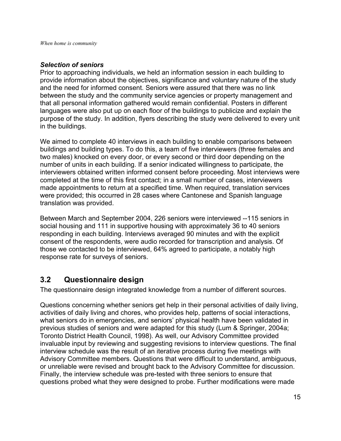#### <span id="page-20-0"></span>*Selection of seniors*

Prior to approaching individuals, we held an information session in each building to provide information about the objectives, significance and voluntary nature of the study and the need for informed consent. Seniors were assured that there was no link between the study and the community service agencies or property management and that all personal information gathered would remain confidential. Posters in different languages were also put up on each floor of the buildings to publicize and explain the purpose of the study. In addition, flyers describing the study were delivered to every unit in the buildings.

We aimed to complete 40 interviews in each building to enable comparisons between buildings and building types. To do this, a team of five interviewers (three females and two males) knocked on every door, or every second or third door depending on the number of units in each building. If a senior indicated willingness to participate, the interviewers obtained written informed consent before proceeding. Most interviews were completed at the time of this first contact; in a small number of cases, interviewers made appointments to return at a specified time. When required, translation services were provided; this occurred in 28 cases where Cantonese and Spanish language translation was provided.

Between March and September 2004, 226 seniors were interviewed --115 seniors in social housing and 111 in supportive housing with approximately 36 to 40 seniors responding in each building. Interviews averaged 90 minutes and with the explicit consent of the respondents, were audio recorded for transcription and analysis. Of those we contacted to be interviewed, 64% agreed to participate, a notably high response rate for surveys of seniors.

## **3.2 Questionnaire design**

The questionnaire design integrated knowledge from a number of different sources.

Questions concerning whether seniors get help in their personal activities of daily living, activities of daily living and chores, who provides help, patterns of social interactions, what seniors do in emergencies, and seniors' physical health have been validated in previous studies of seniors and were adapted for this study (Lum & Springer, 2004a; Toronto District Health Council, 1998). As well, our Advisory Committee provided invaluable input by reviewing and suggesting revisions to interview questions. The final interview schedule was the result of an iterative process during five meetings with Advisory Committee members. Questions that were difficult to understand, ambiguous, or unreliable were revised and brought back to the Advisory Committee for discussion. Finally, the interview schedule was pre-tested with three seniors to ensure that questions probed what they were designed to probe. Further modifications were made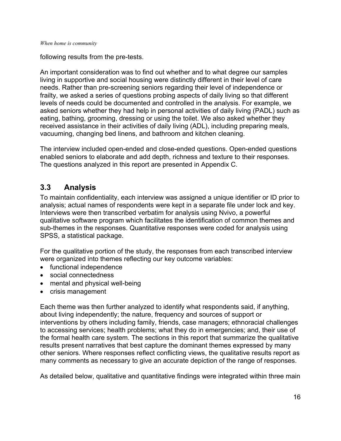<span id="page-21-0"></span>following results from the pre-tests.

An important consideration was to find out whether and to what degree our samples living in supportive and social housing were distinctly different in their level of care needs. Rather than pre-screening seniors regarding their level of independence or frailty, we asked a series of questions probing aspects of daily living so that different levels of needs could be documented and controlled in the analysis. For example, we asked seniors whether they had help in personal activities of daily living (PADL) such as eating, bathing, grooming, dressing or using the toilet. We also asked whether they received assistance in their activities of daily living (ADL), including preparing meals, vacuuming, changing bed linens, and bathroom and kitchen cleaning.

The interview included open-ended and close-ended questions. Open-ended questions enabled seniors to elaborate and add depth, richness and texture to their responses. The questions analyzed in this report are presented in Appendix C.

## **3.3 Analysis**

To maintain confidentiality, each interview was assigned a unique identifier or ID prior to analysis; actual names of respondents were kept in a separate file under lock and key. Interviews were then transcribed verbatim for analysis using Nvivo, a powerful qualitative software program which facilitates the identification of common themes and sub-themes in the responses. Quantitative responses were coded for analysis using SPSS, a statistical package.

For the qualitative portion of the study, the responses from each transcribed interview were organized into themes reflecting our key outcome variables:

- functional independence
- social connectedness
- mental and physical well-being
- crisis management

Each theme was then further analyzed to identify what respondents said, if anything, about living independently; the nature, frequency and sources of support or interventions by others including family, friends, case managers; ethnoracial challenges to accessing services; health problems; what they do in emergencies; and, their use of the formal health care system. The sections in this report that summarize the qualitative results present narratives that best capture the dominant themes expressed by many other seniors. Where responses reflect conflicting views, the qualitative results report as many comments as necessary to give an accurate depiction of the range of responses.

As detailed below, qualitative and quantitative findings were integrated within three main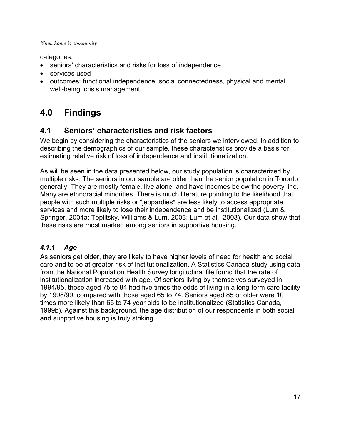<span id="page-22-0"></span>categories:

- seniors' characteristics and risks for loss of independence
- services used
- outcomes: functional independence, social connectedness, physical and mental well-being, crisis management.

## **4.0 Findings**

## **4.1 Seniors' characteristics and risk factors**

We begin by considering the characteristics of the seniors we interviewed. In addition to describing the demographics of our sample, these characteristics provide a basis for estimating relative risk of loss of independence and institutionalization.

As will be seen in the data presented below, our study population is characterized by multiple risks. The seniors in our sample are older than the senior population in Toronto generally. They are mostly female, live alone, and have incomes below the poverty line. Many are ethnoracial minorities. There is much literature pointing to the likelihood that people with such multiple risks or "jeopardies" are less likely to access appropriate services and more likely to lose their independence and be institutionalized (Lum & Springer, 2004a; Teplitsky, Williams & Lum, 2003; Lum et al., 2003). Our data show that these risks are most marked among seniors in supportive housing.

## *4.1.1 Age*

As seniors get older, they are likely to have higher levels of need for health and social care and to be at greater risk of institutionalization. A Statistics Canada study using data from the National Population Health Survey longitudinal file found that the rate of institutionalization increased with age. Of seniors living by themselves surveyed in 1994/95, those aged 75 to 84 had five times the odds of living in a long-term care facility by 1998/99, compared with those aged 65 to 74. Seniors aged 85 or older were 10 times more likely than 65 to 74 year olds to be institutionalized (Statistics Canada, 1999b). Against this background, the age distribution of our respondents in both social and supportive housing is truly striking.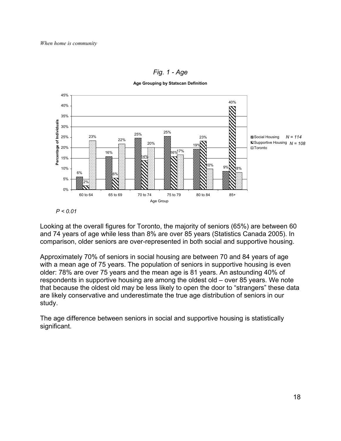

*Fig. 1 - Age* 

**Age Grouping by Statscan Definition**

Looking at the overall figures for Toronto, the majority of seniors (65%) are between 60 and 74 years of age while less than 8% are over 85 years (Statistics Canada 2005). In comparison, older seniors are over-represented in both social and supportive housing.

Approximately 70% of seniors in social housing are between 70 and 84 years of age with a mean age of 75 years. The population of seniors in supportive housing is even older: 78% are over 75 years and the mean age is 81 years. An astounding 40% of respondents in supportive housing are among the oldest old – over 85 years. We note that because the oldest old may be less likely to open the door to "strangers" these data are likely conservative and underestimate the true age distribution of seniors in our study.

The age difference between seniors in social and supportive housing is statistically significant.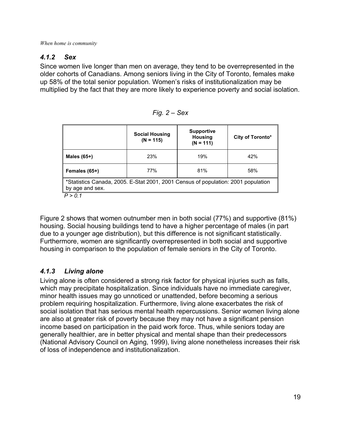## <span id="page-24-0"></span>*4.1.2 Sex*

Since women live longer than men on average, they tend to be overrepresented in the older cohorts of Canadians. Among seniors living in the City of Toronto, females make up 58% of the total senior population. Women's risks of institutionalization may be multiplied by the fact that they are more likely to experience poverty and social isolation.

| α |  | еx |
|---|--|----|
|---|--|----|

|                                                                                                      | <b>Social Housing</b><br>$(N = 115)$ | <b>Supportive</b><br><b>Housing</b><br>$(N = 111)$ | City of Toronto* |  |  |
|------------------------------------------------------------------------------------------------------|--------------------------------------|----------------------------------------------------|------------------|--|--|
| Males $(65+)$                                                                                        | 23%                                  | 19%                                                | 42%              |  |  |
| Females (65+)                                                                                        | 77%                                  | 81%                                                | 58%              |  |  |
| *Statistics Canada, 2005. E-Stat 2001, 2001 Census of population: 2001 population<br>by age and sex. |                                      |                                                    |                  |  |  |
|                                                                                                      |                                      |                                                    |                  |  |  |

*P > 0.1* 

Figure 2 shows that women outnumber men in both social (77%) and supportive (81%) housing. Social housing buildings tend to have a higher percentage of males (in part due to a younger age distribution), but this difference is not significant statistically. Furthermore, women are significantly overrepresented in both social and supportive housing in comparison to the population of female seniors in the City of Toronto.

## *4.1.3 Living alone*

Living alone is often considered a strong risk factor for physical injuries such as falls, which may precipitate hospitalization. Since individuals have no immediate caregiver, minor health issues may go unnoticed or unattended, before becoming a serious problem requiring hospitalization. Furthermore, living alone exacerbates the risk of social isolation that has serious mental health repercussions. Senior women living alone are also at greater risk of poverty because they may not have a significant pension income based on participation in the paid work force. Thus, while seniors today are generally healthier, are in better physical and mental shape than their predecessors (National Advisory Council on Aging, 1999), living alone nonetheless increases their risk of loss of independence and institutionalization.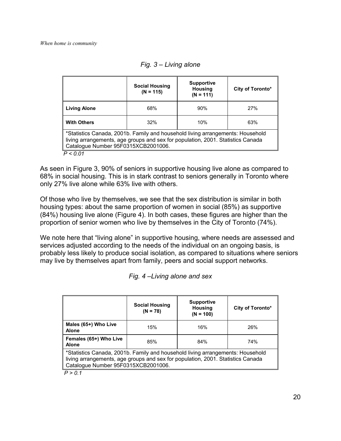|                                                                                                                                                                                                          | <b>Social Housing</b><br>$(N = 115)$ | <b>Supportive</b><br><b>Housing</b><br>$(N = 111)$ | City of Toronto* |  |
|----------------------------------------------------------------------------------------------------------------------------------------------------------------------------------------------------------|--------------------------------------|----------------------------------------------------|------------------|--|
| <b>Living Alone</b>                                                                                                                                                                                      | 68%                                  | 90%                                                | 27%              |  |
| <b>With Others</b>                                                                                                                                                                                       | 32%                                  | 10%                                                | 63%              |  |
| *Statistics Canada, 2001b. Family and household living arrangements: Household<br>living arrangements, age groups and sex for population, 2001. Statistics Canada<br>Catalogue Number 95F0315XCB2001006. |                                      |                                                    |                  |  |
| P < 0.01                                                                                                                                                                                                 |                                      |                                                    |                  |  |

*Fig. 3 – Living alone* 

As seen in Figure 3, 90% of seniors in supportive housing live alone as compared to 68% in social housing. This is in stark contrast to seniors generally in Toronto where only 27% live alone while 63% live with others.

Of those who live by themselves, we see that the sex distribution is similar in both housing types: about the same proportion of women in social (85%) as supportive (84%) housing live alone (Figure 4). In both cases, these figures are higher than the proportion of senior women who live by themselves in the City of Toronto (74%).

We note here that "living alone" in supportive housing, where needs are assessed and services adjusted according to the needs of the individual on an ongoing basis, is probably less likely to produce social isolation, as compared to situations where seniors may live by themselves apart from family, peers and social support networks.

*Fig. 4 –Living alone and sex* 

|                                                                                                                                                                                                          | <b>Social Housing</b><br>$(N = 78)$ | <b>Supportive</b><br><b>Housing</b><br>$(N = 100)$ | City of Toronto* |  |
|----------------------------------------------------------------------------------------------------------------------------------------------------------------------------------------------------------|-------------------------------------|----------------------------------------------------|------------------|--|
| Males (65+) Who Live<br><b>Alone</b>                                                                                                                                                                     | 15%                                 | 16%                                                | 26%              |  |
| Females (65+) Who Live<br><b>Alone</b>                                                                                                                                                                   | 85%                                 | 84%                                                | 74%              |  |
| *Statistics Canada, 2001b. Family and household living arrangements: Household<br>living arrangements, age groups and sex for population, 2001. Statistics Canada<br>Catalogue Number 95F0315XCB2001006. |                                     |                                                    |                  |  |
| P > 0.1                                                                                                                                                                                                  |                                     |                                                    |                  |  |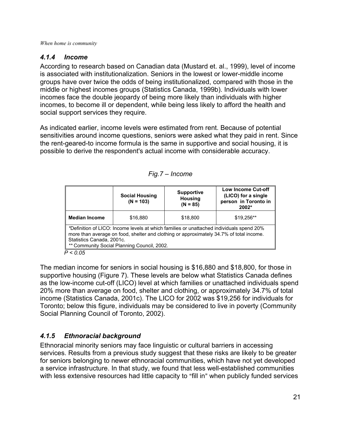### <span id="page-26-0"></span>*4.1.4 Income*

According to research based on Canadian data (Mustard et. al., 1999), level of income is associated with institutionalization. Seniors in the lowest or lower-middle income groups have over twice the odds of being institutionalized, compared with those in the middle or highest incomes groups (Statistics Canada, 1999b). Individuals with lower incomes face the double jeopardy of being more likely than individuals with higher incomes, to become ill or dependent, while being less likely to afford the health and social support services they require.

As indicated earlier, income levels were estimated from rent. Because of potential sensitivities around income questions, seniors were asked what they paid in rent. Since the rent-geared-to income formula is the same in supportive and social housing, it is possible to derive the respondent's actual income with considerable accuracy.

|                                                                                                                                                                                                                                                                 | <b>Social Housing</b><br>$(N = 103)$ | <b>Supportive</b><br><b>Housing</b><br>$(N = 85)$ | <b>Low Income Cut-off</b><br>(LICO) for a single<br>person in Toronto in<br>2002* |  |
|-----------------------------------------------------------------------------------------------------------------------------------------------------------------------------------------------------------------------------------------------------------------|--------------------------------------|---------------------------------------------------|-----------------------------------------------------------------------------------|--|
| <b>Median Income</b>                                                                                                                                                                                                                                            | \$16,880                             | \$18,800                                          | \$19,256**                                                                        |  |
| *Definition of LICO: Income levels at which families or unattached individuals spend 20%<br>more than average on food, shelter and clothing or approximately 34.7% of total income.<br>Statistics Canada, 2001c.<br>** Community Social Planning Council, 2002. |                                      |                                                   |                                                                                   |  |
| P < 0.05                                                                                                                                                                                                                                                        |                                      |                                                   |                                                                                   |  |

The median income for seniors in social housing is \$16,880 and \$18,800, for those in supportive housing (Figure 7). These levels are below what Statistics Canada defines as the low-income cut-off (LICO) level at which families or unattached individuals spend 20% more than average on food, shelter and clothing, or approximately 34.7% of total income (Statistics Canada, 2001c). The LICO for 2002 was \$19,256 for individuals for Toronto; below this figure, individuals may be considered to live in poverty (Community Social Planning Council of Toronto, 2002).

## *4.1.5 Ethnoracial background*

Ethnoracial minority seniors may face linguistic or cultural barriers in accessing services. Results from a previous study suggest that these risks are likely to be greater for seniors belonging to newer ethnoracial communities, which have not yet developed a service infrastructure. In that study, we found that less well-established communities with less extensive resources had little capacity to "fill in" when publicly funded services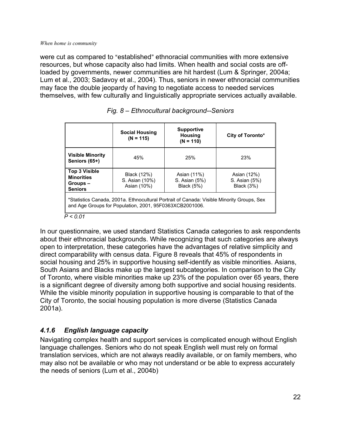<span id="page-27-0"></span>were cut as compared to "established" ethnoracial communities with more extensive resources, but whose capacity also had limits. When health and social costs are offloaded by governments, newer communities are hit hardest (Lum & Springer, 2004a; Lum et al., 2003; Sadavoy et al., 2004). Thus, seniors in newer ethnoracial communities may face the double jeopardy of having to negotiate access to needed services themselves, with few culturally and linguistically appropriate services actually available.

|                                                                                                                                                      | <b>Social Housing</b><br>$(N = 115)$         | <b>Supportive</b><br><b>Housing</b><br>$(N = 110)$ | City of Toronto*                                  |
|------------------------------------------------------------------------------------------------------------------------------------------------------|----------------------------------------------|----------------------------------------------------|---------------------------------------------------|
| <b>Visible Minority</b><br>Seniors (65+)                                                                                                             | 45%                                          | 25%                                                | 23%                                               |
| <b>Top 3 Visible</b><br><b>Minorities</b><br>Groups-<br><b>Seniors</b>                                                                               | Black (12%)<br>S. Asian (10%)<br>Asian (10%) | Asian (11%)<br>S. Asian (5%)<br>Black (5%)         | Asian (12%)<br>S. Asian (5%)<br><b>Black (3%)</b> |
| *Statistics Canada, 2001a. Ethnocultural Portrait of Canada: Visible Minority Groups, Sex<br>and Age Groups for Population, 2001, 95F0363XCB2001006. |                                              |                                                    |                                                   |

|  |  |  | Fig. 8 - Ethnocultural background--Seniors |
|--|--|--|--------------------------------------------|
|--|--|--|--------------------------------------------|

#### *P < 0.01*

In our questionnaire, we used standard Statistics Canada categories to ask respondents about their ethnoracial backgrounds. While recognizing that such categories are always open to interpretation, these categories have the advantages of relative simplicity and direct comparability with census data. Figure 8 reveals that 45% of respondents in social housing and 25% in supportive housing self-identify as visible minorities. Asians, South Asians and Blacks make up the largest subcategories. In comparison to the City of Toronto, where visible minorities make up 23% of the population over 65 years, there is a significant degree of diversity among both supportive and social housing residents. While the visible minority population in supportive housing is comparable to that of the City of Toronto, the social housing population is more diverse (Statistics Canada 2001a).

## *4.1.6 English language capacity*

Navigating complex health and support services is complicated enough without English language challenges. Seniors who do not speak English well must rely on formal translation services, which are not always readily available, or on family members, who may also not be available or who may not understand or be able to express accurately the needs of seniors (Lum et al., 2004b)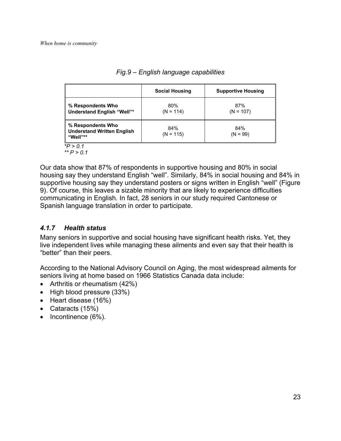<span id="page-28-0"></span>

|                                                                    | <b>Social Housing</b> | <b>Supportive Housing</b> |
|--------------------------------------------------------------------|-----------------------|---------------------------|
| % Respondents Who<br><b>Understand English "Well"*</b>             | 80%<br>$(N = 114)$    | 87%<br>$(N = 107)$        |
| % Respondents Who<br><b>Understand Written English</b><br>"Well"** | 84%<br>$(N = 115)$    | 84%<br>$(N = 99)$         |

#### *Fig.9 – English language capabilities*

 *\*\* P > 0.1* 

Our data show that 87% of respondents in supportive housing and 80% in social housing say they understand English "well". Similarly, 84% in social housing and 84% in supportive housing say they understand posters or signs written in English "well" (Figure 9). Of course, this leaves a sizable minority that are likely to experience difficulties communicating in English. In fact, 28 seniors in our study required Cantonese or Spanish language translation in order to participate.

## *4.1.7 Health status*

Many seniors in supportive and social housing have significant health risks. Yet, they live independent lives while managing these ailments and even say that their health is "better" than their peers.

According to the National Advisory Council on Aging, the most widespread ailments for seniors living at home based on 1966 Statistics Canada data include:

- Arthritis or rheumatism (42%)
- High blood pressure (33%)
- Heart disease (16%)
- Cataracts (15%)
- Incontinence (6%).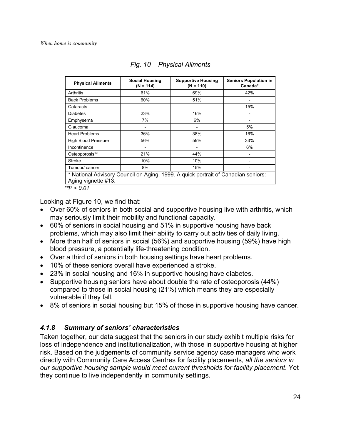<span id="page-29-0"></span>

| <b>Physical Ailments</b>                                                                                 | <b>Social Housing</b><br>$(N = 114)$ | <b>Supportive Housing</b><br>$(N = 110)$ | <b>Seniors Population in</b><br>Canada* |  |  |
|----------------------------------------------------------------------------------------------------------|--------------------------------------|------------------------------------------|-----------------------------------------|--|--|
| Arthritis                                                                                                | 61%                                  | 69%                                      | 42%                                     |  |  |
| <b>Back Problems</b>                                                                                     | 60%                                  | 51%                                      | -                                       |  |  |
| Cataracts                                                                                                |                                      |                                          | 15%                                     |  |  |
| <b>Diabetes</b>                                                                                          | 23%                                  | 16%                                      |                                         |  |  |
| Emphysema                                                                                                | 7%                                   | 6%                                       | -                                       |  |  |
| Glaucoma                                                                                                 | $\overline{\phantom{a}}$             |                                          | 5%                                      |  |  |
| <b>Heart Problems</b>                                                                                    | 36%                                  | 38%                                      | 16%                                     |  |  |
| High Blood Pressure                                                                                      | 56%                                  | 59%                                      | 33%                                     |  |  |
| Incontinence                                                                                             | $\overline{\phantom{a}}$             |                                          | 6%                                      |  |  |
| Osteoporosis**                                                                                           | 21%                                  | 44%                                      |                                         |  |  |
| Stroke                                                                                                   | 10%                                  | 10%                                      |                                         |  |  |
| 8%<br>15%<br>Tumour/ cancer                                                                              |                                      |                                          |                                         |  |  |
| * National Advisory Council on Aging, 1999. A quick portrait of Canadian seniors:<br>Aging vignette #13. |                                      |                                          |                                         |  |  |

*Fig. 10 – Physical Ailments* 

*\*\*P < 0.01* 

Looking at Figure 10, we find that:

- Over 60% of seniors in both social and supportive housing live with arthritis, which may seriously limit their mobility and functional capacity.
- 60% of seniors in social housing and 51% in supportive housing have back problems, which may also limit their ability to carry out activities of daily living.
- More than half of seniors in social (56%) and supportive housing (59%) have high blood pressure, a potentially life-threatening condition.
- Over a third of seniors in both housing settings have heart problems.
- 10% of these seniors overall have experienced a stroke.
- 23% in social housing and 16% in supportive housing have diabetes.
- Supportive housing seniors have about double the rate of osteoporosis (44%) compared to those in social housing (21%) which means they are especially vulnerable if they fall.
- 8% of seniors in social housing but 15% of those in supportive housing have cancer.

## *4.1.8 Summary of seniors' characteristics*

Taken together, our data suggest that the seniors in our study exhibit multiple risks for loss of independence and institutionalization, with those in supportive housing at higher risk. Based on the judgements of community service agency case managers who work directly with Community Care Access Centres for facility placements, *all the seniors in our supportive housing sample would meet current thresholds for facility placement*. Yet they continue to live independently in community settings.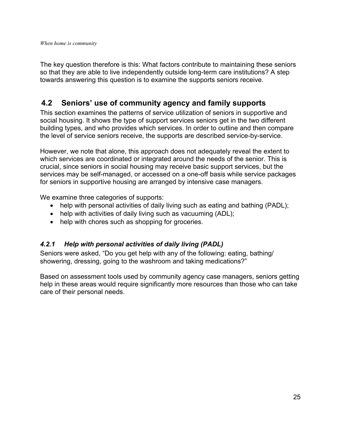<span id="page-30-0"></span>The key question therefore is this: What factors contribute to maintaining these seniors so that they are able to live independently outside long-term care institutions? A step towards answering this question is to examine the supports seniors receive.

## **4.2 Seniors' use of community agency and family supports**

This section examines the patterns of service utilization of seniors in supportive and social housing. It shows the type of support services seniors get in the two different building types, and who provides which services. In order to outline and then compare the level of service seniors receive, the supports are described service-by-service.

However, we note that alone, this approach does not adequately reveal the extent to which services are coordinated or integrated around the needs of the senior. This is crucial, since seniors in social housing may receive basic support services, but the services may be self-managed, or accessed on a one-off basis while service packages for seniors in supportive housing are arranged by intensive case managers.

We examine three categories of supports:

- help with personal activities of daily living such as eating and bathing (PADL);
- help with activities of daily living such as vacuuming (ADL);
- help with chores such as shopping for groceries.

### *4.2.1 Help with personal activities of daily living (PADL)*

Seniors were asked, "Do you get help with any of the following: eating, bathing/ showering, dressing, going to the washroom and taking medications?"

Based on assessment tools used by community agency case managers, seniors getting help in these areas would require significantly more resources than those who can take care of their personal needs.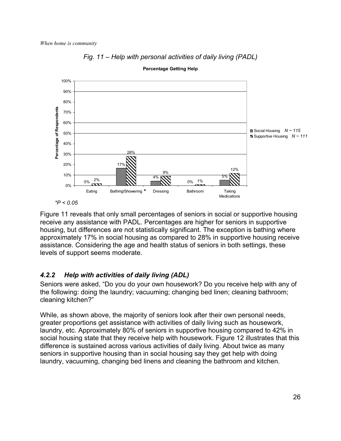<span id="page-31-0"></span>



Figure 11 reveals that only small percentages of seniors in social or supportive housing receive any assistance with PADL. Percentages are higher for seniors in supportive housing, but differences are not statistically significant. The exception is bathing where approximately 17% in social housing as compared to 28% in supportive housing receive assistance. Considering the age and health status of seniors in both settings, these levels of support seems moderate.

#### **Percentage Getting Help**

### *4.2.2 Help with activities of daily living (ADL)*

Seniors were asked, "Do you do your own housework? Do you receive help with any of the following: doing the laundry; vacuuming; changing bed linen; cleaning bathroom; cleaning kitchen?"

While, as shown above, the majority of seniors look after their own personal needs, greater proportions get assistance with activities of daily living such as housework, laundry, etc. Approximately 80% of seniors in supportive housing compared to 42% in social housing state that they receive help with housework. Figure 12 illustrates that this difference is sustained across various activities of daily living. About twice as many seniors in supportive housing than in social housing say they get help with doing laundry, vacuuming, changing bed linens and cleaning the bathroom and kitchen.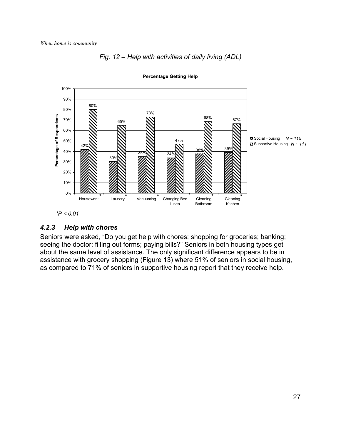

<span id="page-32-0"></span>

**Percentage Getting Help**

# *4.2.3 Help with chores*

Seniors were asked, "Do you get help with chores: shopping for groceries; banking; seeing the doctor; filling out forms; paying bills?" Seniors in both housing types get about the same level of assistance. The only significant difference appears to be in assistance with grocery shopping (Figure 13) where 51% of seniors in social housing, as compared to 71% of seniors in supportive housing report that they receive help.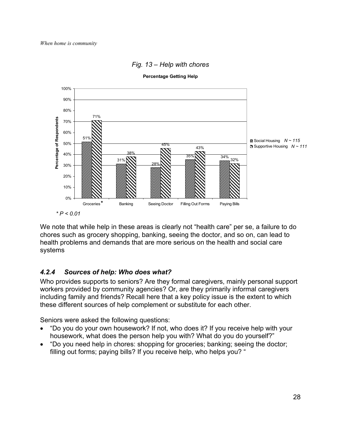<span id="page-33-0"></span>

### *Fig. 13 – Help with chores*

**Percentage Getting Help**

We note that while help in these areas is clearly not "health care" per se, a failure to do chores such as grocery shopping, banking, seeing the doctor, and so on, can lead to health problems and demands that are more serious on the health and social care systems

### *4.2.4 Sources of help: Who does what?*

Who provides supports to seniors? Are they formal caregivers, mainly personal support workers provided by community agencies? Or, are they primarily informal caregivers including family and friends? Recall here that a key policy issue is the extent to which these different sources of help complement or substitute for each other.

Seniors were asked the following questions:

- "Do you do your own housework? If not, who does it? If you receive help with your housework, what does the person help you with? What do you do yourself?"
- "Do you need help in chores: shopping for groceries; banking; seeing the doctor; filling out forms; paying bills? If you receive help, who helps you? "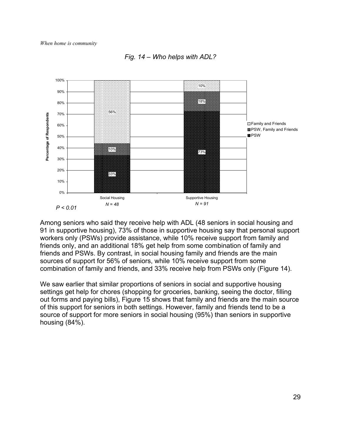



Among seniors who said they receive help with ADL (48 seniors in social housing and 91 in supportive housing), 73% of those in supportive housing say that personal support workers only (PSWs) provide assistance, while 10% receive support from family and friends only, and an additional 18% get help from some combination of family and friends and PSWs. By contrast, in social housing family and friends are the main sources of support for 56% of seniors, while 10% receive support from some combination of family and friends, and 33% receive help from PSWs only (Figure 14).

We saw earlier that similar proportions of seniors in social and supportive housing settings get help for chores (shopping for groceries, banking, seeing the doctor, filling out forms and paying bills), Figure 15 shows that family and friends are the main source of this support for seniors in both settings. However, family and friends tend to be a source of support for more seniors in social housing (95%) than seniors in supportive housing (84%).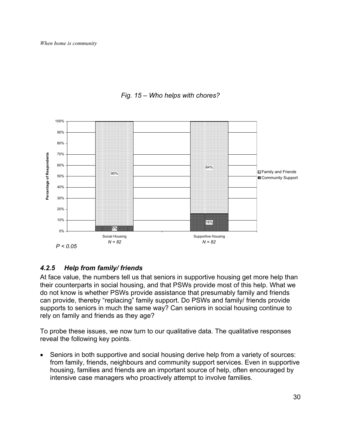<span id="page-35-0"></span>

*Fig. 15 – Who helps with chores?*

## *4.2.5 Help from family/ friends*

At face value, the numbers tell us that seniors in supportive housing get more help than their counterparts in social housing, and that PSWs provide most of this help. What we do not know is whether PSWs provide assistance that presumably family and friends can provide, thereby "replacing" family support. Do PSWs and family/ friends provide supports to seniors in much the same way? Can seniors in social housing continue to rely on family and friends as they age?

To probe these issues, we now turn to our qualitative data. The qualitative responses reveal the following key points.

Seniors in both supportive and social housing derive help from a variety of sources: from family, friends, neighbours and community support services. Even in supportive housing, families and friends are an important source of help, often encouraged by intensive case managers who proactively attempt to involve families.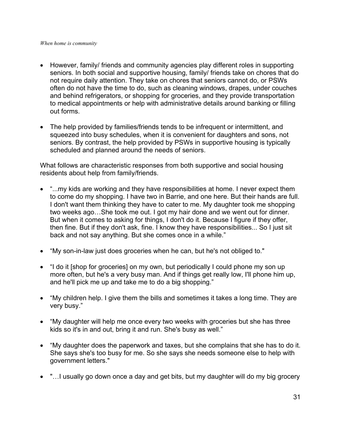- However, family/ friends and community agencies play different roles in supporting seniors. In both social and supportive housing, family/ friends take on chores that do not require daily attention. They take on chores that seniors cannot do, or PSWs often do not have the time to do, such as cleaning windows, drapes, under couches and behind refrigerators, or shopping for groceries, and they provide transportation to medical appointments or help with administrative details around banking or filling out forms.
- The help provided by families/friends tends to be infrequent or intermittent, and squeezed into busy schedules, when it is convenient for daughters and sons, not seniors. By contrast, the help provided by PSWs in supportive housing is typically scheduled and planned around the needs of seniors.

What follows are characteristic responses from both supportive and social housing residents about help from family/friends.

- "...my kids are working and they have responsibilities at home. I never expect them to come do my shopping. I have two in Barrie, and one here. But their hands are full. I don't want them thinking they have to cater to me. My daughter took me shopping two weeks ago…She took me out. I got my hair done and we went out for dinner. But when it comes to asking for things, I don't do it. Because I figure if they offer, then fine. But if they don't ask, fine. I know they have responsibilities... So I just sit back and not say anything. But she comes once in a while."
- "My son-in-law just does groceries when he can, but he's not obliged to."
- "I do it [shop for groceries] on my own, but periodically I could phone my son up more often, but he's a very busy man. And if things get really low, I'll phone him up, and he'll pick me up and take me to do a big shopping."
- "My children help. I give them the bills and sometimes it takes a long time. They are very busy."
- "My daughter will help me once every two weeks with groceries but she has three kids so it's in and out, bring it and run. She's busy as well."
- "My daughter does the paperwork and taxes, but she complains that she has to do it. She says she's too busy for me. So she says she needs someone else to help with government letters."
- "…I usually go down once a day and get bits, but my daughter will do my big grocery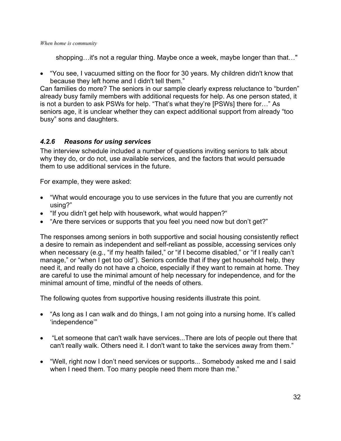shopping…it's not a regular thing. Maybe once a week, maybe longer than that…"

• "You see, I vacuumed sitting on the floor for 30 years. My children didn't know that because they left home and I didn't tell them."

Can families do more? The seniors in our sample clearly express reluctance to "burden" already busy family members with additional requests for help. As one person stated, it is not a burden to ask PSWs for help. "That's what they're [PSWs] there for…" As seniors age, it is unclear whether they can expect additional support from already "too busy" sons and daughters.

## *4.2.6 Reasons for using services*

The interview schedule included a number of questions inviting seniors to talk about why they do, or do not, use available services, and the factors that would persuade them to use additional services in the future.

For example, they were asked:

- "What would encourage you to use services in the future that you are currently not using?"
- "If you didn't get help with housework, what would happen?"
- "Are there services or supports that you feel you need now but don't get?"

The responses among seniors in both supportive and social housing consistently reflect a desire to remain as independent and self-reliant as possible, accessing services only when necessary (e.g., "if my health failed," or "if I become disabled," or "if I really can't manage," or "when I get too old"). Seniors confide that if they get household help, they need it, and really do not have a choice, especially if they want to remain at home. They are careful to use the minimal amount of help necessary for independence, and for the minimal amount of time, mindful of the needs of others.

The following quotes from supportive housing residents illustrate this point.

- "As long as I can walk and do things, I am not going into a nursing home. It's called 'independence'"
- "Let someone that can't walk have services...There are lots of people out there that can't really walk. Others need it. I don't want to take the services away from them."
- "Well, right now I don't need services or supports... Somebody asked me and I said when I need them. Too many people need them more than me."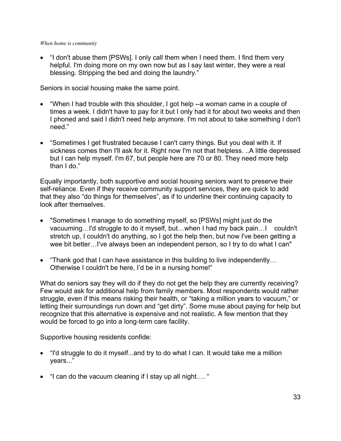• "I don't abuse them [PSWs]. I only call them when I need them. I find them very helpful. I'm doing more on my own now but as I say last winter, they were a real blessing. Stripping the bed and doing the laundry."

Seniors in social housing make the same point.

- "When I had trouble with this shoulder, I got help --a woman came in a couple of times a week. I didn't have to pay for it but I only had it for about two weeks and then I phoned and said I didn't need help anymore. I'm not about to take something I don't need."
- "Sometimes I get frustrated because I can't carry things. But you deal with it. If sickness comes then I'll ask for it. Right now I'm not that helpless. ..A little depressed but I can help myself. I'm 67, but people here are 70 or 80. They need more help than I do."

Equally importantly, both supportive and social housing seniors want to preserve their self-reliance. Even if they receive community support services, they are quick to add that they also "do things for themselves", as if to underline their continuing capacity to look after themselves.

- "Sometimes I manage to do something myself, so [PSWs] might just do the vacuuming…I'd struggle to do it myself, but…when I had my back pain…I couldn't stretch up, I couldn't do anything, so I got the help then, but now I've been getting a wee bit better…I've always been an independent person, so I try to do what I can"
- "Thank god that I can have assistance in this building to live independently... Otherwise I couldn't be here, I'd be in a nursing home!"

What do seniors say they will do if they do not get the help they are currently receiving? Few would ask for additional help from family members. Most respondents would rather struggle, even if this means risking their health, or "taking a million years to vacuum," or letting their surroundings run down and "get dirty". Some muse about paying for help but recognize that this alternative is expensive and not realistic. A few mention that they would be forced to go into a long-term care facility.

Supportive housing residents confide:

- "I'd struggle to do it myself...and try to do what I can. It would take me a million years..."
- "I can do the vacuum cleaning if I stay up all night…. "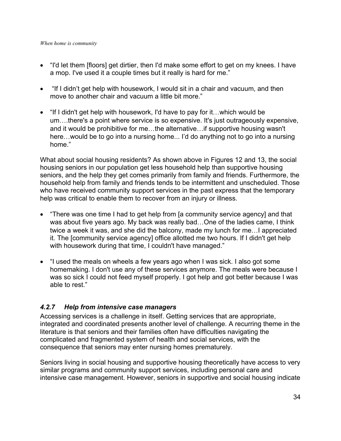- "I'd let them [floors] get dirtier, then I'd make some effort to get on my knees. I have a mop. I've used it a couple times but it really is hard for me."
- "If I didn't get help with housework, I would sit in a chair and vacuum, and then move to another chair and vacuum a little bit more."
- "If I didn't get help with housework, I'd have to pay for it…which would be um….there's a point where service is so expensive. It's just outrageously expensive, and it would be prohibitive for me…the alternative…if supportive housing wasn't here…would be to go into a nursing home... I'd do anything not to go into a nursing home."

What about social housing residents? As shown above in Figures 12 and 13, the social housing seniors in our population get less household help than supportive housing seniors, and the help they get comes primarily from family and friends. Furthermore, the household help from family and friends tends to be intermittent and unscheduled. Those who have received community support services in the past express that the temporary help was critical to enable them to recover from an injury or illness.

- "There was one time I had to get help from [a community service agency] and that was about five years ago. My back was really bad…One of the ladies came, I think twice a week it was, and she did the balcony, made my lunch for me…I appreciated it. The [community service agency] office allotted me two hours. If I didn't get help with housework during that time, I couldn't have managed."
- "I used the meals on wheels a few years ago when I was sick. I also got some homemaking. I don't use any of these services anymore. The meals were because I was so sick I could not feed myself properly. I got help and got better because I was able to rest."

## *4.2.7 Help from intensive case managers*

Accessing services is a challenge in itself. Getting services that are appropriate, integrated and coordinated presents another level of challenge. A recurring theme in the literature is that seniors and their families often have difficulties navigating the complicated and fragmented system of health and social services, with the consequence that seniors may enter nursing homes prematurely.

Seniors living in social housing and supportive housing theoretically have access to very similar programs and community support services, including personal care and intensive case management. However, seniors in supportive and social housing indicate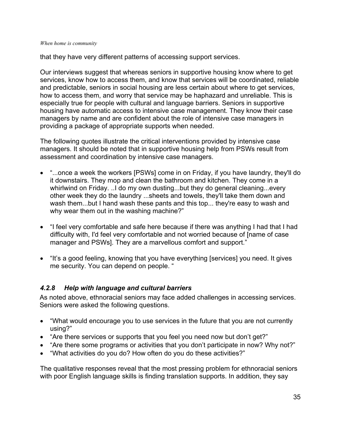that they have very different patterns of accessing support services.

Our interviews suggest that whereas seniors in supportive housing know where to get services, know how to access them, and know that services will be coordinated, reliable and predictable, seniors in social housing are less certain about where to get services, how to access them, and worry that service may be haphazard and unreliable. This is especially true for people with cultural and language barriers. Seniors in supportive housing have automatic access to intensive case management. They know their case managers by name and are confident about the role of intensive case managers in providing a package of appropriate supports when needed.

The following quotes illustrate the critical interventions provided by intensive case managers. It should be noted that in supportive housing help from PSWs result from assessment and coordination by intensive case managers.

- "...once a week the workers [PSWs] come in on Friday, if you have laundry, they'll do it downstairs. They mop and clean the bathroom and kitchen. They come in a whirlwind on Friday. ..I do my own dusting...but they do general cleaning...every other week they do the laundry ...sheets and towels, they'll take them down and wash them...but I hand wash these pants and this top... they're easy to wash and why wear them out in the washing machine?"
- "I feel very comfortable and safe here because if there was anything I had that I had difficulty with, I'd feel very comfortable and not worried because of [name of case manager and PSWs]. They are a marvellous comfort and support."
- "It's a good feeling, knowing that you have everything [services] you need. It gives me security. You can depend on people. "

## *4.2.8 Help with language and cultural barriers*

As noted above, ethnoracial seniors may face added challenges in accessing services. Seniors were asked the following questions.

- "What would encourage you to use services in the future that you are not currently using?"
- "Are there services or supports that you feel you need now but don't get?"
- "Are there some programs or activities that you don't participate in now? Why not?"
- "What activities do you do? How often do you do these activities?"

The qualitative responses reveal that the most pressing problem for ethnoracial seniors with poor English language skills is finding translation supports. In addition, they say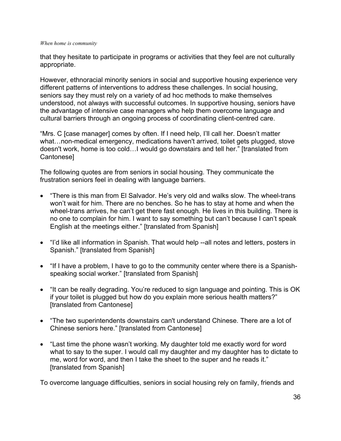that they hesitate to participate in programs or activities that they feel are not culturally appropriate.

However, ethnoracial minority seniors in social and supportive housing experience very different patterns of interventions to address these challenges. In social housing, seniors say they must rely on a variety of ad hoc methods to make themselves understood, not always with successful outcomes. In supportive housing, seniors have the advantage of intensive case managers who help them overcome language and cultural barriers through an ongoing process of coordinating client-centred care.

"Mrs. C [case manager] comes by often. If I need help, I'll call her. Doesn't matter what…non-medical emergency, medications haven't arrived, toilet gets plugged, stove doesn't work, home is too cold…I would go downstairs and tell her." [translated from Cantonese]

The following quotes are from seniors in social housing. They communicate the frustration seniors feel in dealing with language barriers.

- "There is this man from El Salvador. He's very old and walks slow. The wheel-trans won't wait for him. There are no benches. So he has to stay at home and when the wheel-trans arrives, he can't get there fast enough. He lives in this building. There is no one to complain for him. I want to say something but can't because I can't speak English at the meetings either." [translated from Spanish]
- "I'd like all information in Spanish. That would help --all notes and letters, posters in Spanish." [translated from Spanish]
- "If I have a problem, I have to go to the community center where there is a Spanishspeaking social worker." [translated from Spanish]
- "It can be really degrading. You're reduced to sign language and pointing. This is OK if your toilet is plugged but how do you explain more serious health matters?" [translated from Cantonese]
- "The two superintendents downstairs can't understand Chinese. There are a lot of Chinese seniors here." [translated from Cantonese]
- "Last time the phone wasn't working. My daughter told me exactly word for word what to say to the super. I would call my daughter and my daughter has to dictate to me, word for word, and then I take the sheet to the super and he reads it." [translated from Spanish]

To overcome language difficulties, seniors in social housing rely on family, friends and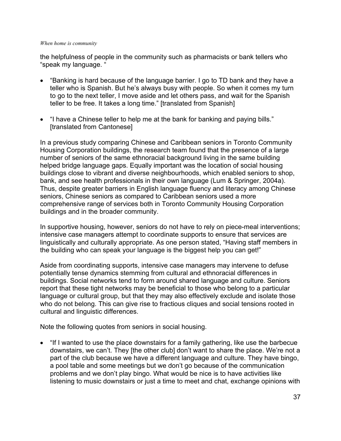the helpfulness of people in the community such as pharmacists or bank tellers who "speak my language. "

- "Banking is hard because of the language barrier. I go to TD bank and they have a teller who is Spanish. But he's always busy with people. So when it comes my turn to go to the next teller, I move aside and let others pass, and wait for the Spanish teller to be free. It takes a long time." [translated from Spanish]
- "I have a Chinese teller to help me at the bank for banking and paying bills." [translated from Cantonese]

In a previous study comparing Chinese and Caribbean seniors in Toronto Community Housing Corporation buildings, the research team found that the presence of a large number of seniors of the same ethnoracial background living in the same building helped bridge language gaps. Equally important was the location of social housing buildings close to vibrant and diverse neighbourhoods, which enabled seniors to shop, bank, and see health professionals in their own language (Lum & Springer, 2004a). Thus, despite greater barriers in English language fluency and literacy among Chinese seniors, Chinese seniors as compared to Caribbean seniors used a more comprehensive range of services both in Toronto Community Housing Corporation buildings and in the broader community.

In supportive housing, however, seniors do not have to rely on piece-meal interventions; intensive case managers attempt to coordinate supports to ensure that services are linguistically and culturally appropriate. As one person stated, "Having staff members in the building who can speak your language is the biggest help you can get!"

Aside from coordinating supports, intensive case managers may intervene to defuse potentially tense dynamics stemming from cultural and ethnoracial differences in buildings. Social networks tend to form around shared language and culture. Seniors report that these tight networks may be beneficial to those who belong to a particular language or cultural group, but that they may also effectively exclude and isolate those who do not belong. This can give rise to fractious cliques and social tensions rooted in cultural and linguistic differences.

Note the following quotes from seniors in social housing.

• "If I wanted to use the place downstairs for a family gathering, like use the barbecue downstairs, we can't. They [the other club] don't want to share the place. We're not a part of the club because we have a different language and culture. They have bingo, a pool table and some meetings but we don't go because of the communication problems and we don't play bingo. What would be nice is to have activities like listening to music downstairs or just a time to meet and chat, exchange opinions with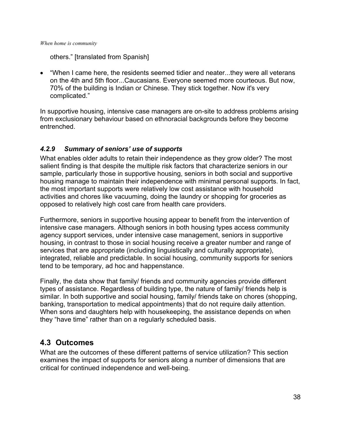others." [translated from Spanish]

• "When I came here, the residents seemed tidier and neater...they were all veterans on the 4th and 5th floor...Caucasians. Everyone seemed more courteous. But now, 70% of the building is Indian or Chinese. They stick together. Now it's very complicated."

In supportive housing, intensive case managers are on-site to address problems arising from exclusionary behaviour based on ethnoracial backgrounds before they become entrenched.

## *4.2.9 Summary of seniors' use of supports*

What enables older adults to retain their independence as they grow older? The most salient finding is that despite the multiple risk factors that characterize seniors in our sample, particularly those in supportive housing, seniors in both social and supportive housing manage to maintain their independence with minimal personal supports. In fact, the most important supports were relatively low cost assistance with household activities and chores like vacuuming, doing the laundry or shopping for groceries as opposed to relatively high cost care from health care providers.

Furthermore, seniors in supportive housing appear to benefit from the intervention of intensive case managers. Although seniors in both housing types access community agency support services, under intensive case management, seniors in supportive housing, in contrast to those in social housing receive a greater number and range of services that are appropriate (including linguistically and culturally appropriate), integrated, reliable and predictable. In social housing, community supports for seniors tend to be temporary, ad hoc and happenstance.

Finally, the data show that family/ friends and community agencies provide different types of assistance. Regardless of building type, the nature of family/ friends help is similar. In both supportive and social housing, family/ friends take on chores (shopping, banking, transportation to medical appointments) that do not require daily attention. When sons and daughters help with housekeeping, the assistance depends on when they "have time" rather than on a regularly scheduled basis.

# **4.3 Outcomes**

What are the outcomes of these different patterns of service utilization? This section examines the impact of supports for seniors along a number of dimensions that are critical for continued independence and well-being.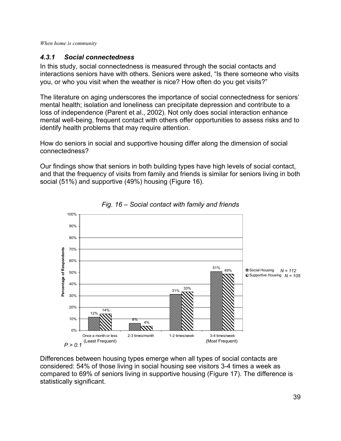## *4.3.1 Social connectedness*

In this study, social connectedness is measured through the social contacts and interactions seniors have with others. Seniors were asked, "Is there someone who visits you, or who you visit when the weather is nice? How often do you get visits?"

The literature on aging underscores the importance of social connectedness for seniors' mental health; isolation and loneliness can precipitate depression and contribute to a loss of independence (Parent et al., 2002). Not only does social interaction enhance mental well-being, frequent contact with others offer opportunities to assess risks and to identify health problems that may require attention.

How do seniors in social and supportive housing differ along the dimension of social connectedness?

Our findings show that seniors in both building types have high levels of social contact, and that the frequency of visits from family and friends is similar for seniors living in both social (51%) and supportive (49%) housing (Figure 16).



*Fig. 16 – Social contact with family and friends*

Differences between housing types emerge when all types of social contacts are considered: 54% of those living in social housing see visitors 3-4 times a week as compared to 69% of seniors living in supportive housing (Figure 17). The difference is statistically significant.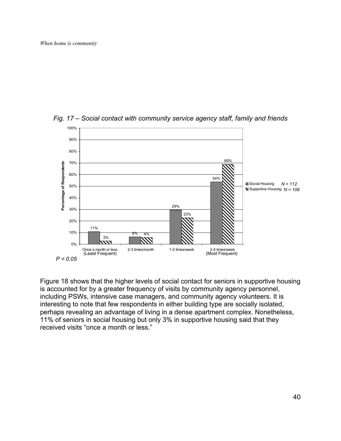

*Fig. 17 – Social contact with community service agency staff, family and friends* 

Figure 18 shows that the higher levels of social contact for seniors in supportive housing is accounted for by a greater frequency of visits by community agency personnel, including PSWs, intensive case managers, and community agency volunteers. It is interesting to note that few respondents in either building type are socially isolated, perhaps revealing an advantage of living in a dense apartment complex. Nonetheless, 11% of seniors in social housing but only 3% in supportive housing said that they received visits "once a month or less."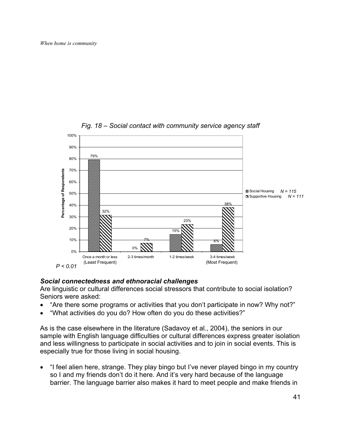

*Fig. 18 – Social contact with community service agency staff* 

## *Social connectedness and ethnoracial challenges*

Are linguistic or cultural differences social stressors that contribute to social isolation? Seniors were asked:

- "Are there some programs or activities that you don't participate in now? Why not?"
- "What activities do you do? How often do you do these activities?"

As is the case elsewhere in the literature (Sadavoy et al., 2004), the seniors in our sample with English language difficulties or cultural differences express greater isolation and less willingness to participate in social activities and to join in social events. This is especially true for those living in social housing.

• "I feel alien here, strange. They play bingo but I've never played bingo in my country so I and my friends don't do it here. And it's very hard because of the language barrier. The language barrier also makes it hard to meet people and make friends in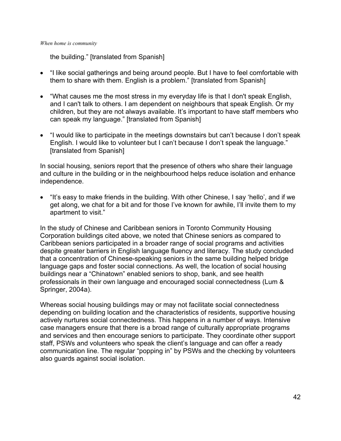the building." [translated from Spanish]

- "I like social gatherings and being around people. But I have to feel comfortable with them to share with them. English is a problem." [translated from Spanish]
- "What causes me the most stress in my everyday life is that I don't speak English, and I can't talk to others. I am dependent on neighbours that speak English. Or my children, but they are not always available. It's important to have staff members who can speak my language." [translated from Spanish]
- "I would like to participate in the meetings downstairs but can't because I don't speak English. I would like to volunteer but I can't because I don't speak the language." [translated from Spanish]

In social housing, seniors report that the presence of others who share their language and culture in the building or in the neighbourhood helps reduce isolation and enhance independence.

• "It's easy to make friends in the building. With other Chinese, I say 'hello', and if we get along, we chat for a bit and for those I've known for awhile, I'll invite them to my apartment to visit."

In the study of Chinese and Caribbean seniors in Toronto Community Housing Corporation buildings cited above, we noted that Chinese seniors as compared to Caribbean seniors participated in a broader range of social programs and activities despite greater barriers in English language fluency and literacy. The study concluded that a concentration of Chinese-speaking seniors in the same building helped bridge language gaps and foster social connections. As well, the location of social housing buildings near a "Chinatown" enabled seniors to shop, bank, and see health professionals in their own language and encouraged social connectedness (Lum & Springer, 2004a).

Whereas social housing buildings may or may not facilitate social connectedness depending on building location and the characteristics of residents, supportive housing actively nurtures social connectedness. This happens in a number of ways. Intensive case managers ensure that there is a broad range of culturally appropriate programs and services and then encourage seniors to participate. They coordinate other support staff, PSWs and volunteers who speak the client's language and can offer a ready communication line. The regular "popping in" by PSWs and the checking by volunteers also guards against social isolation.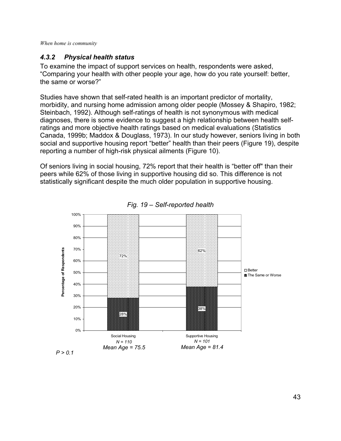## *4.3.2 Physical health status*

To examine the impact of support services on health, respondents were asked, "Comparing your health with other people your age, how do you rate yourself: better, the same or worse?"

Studies have shown that self-rated health is an important predictor of mortality, morbidity, and nursing home admission among older people (Mossey & Shapiro, 1982; Steinbach, 1992). Although self-ratings of health is not synonymous with medical diagnoses, there is some evidence to suggest a high relationship between health selfratings and more objective health ratings based on medical evaluations (Statistics Canada, 1999b; Maddox & Douglass, 1973). In our study however, seniors living in both social and supportive housing report "better" health than their peers (Figure 19), despite reporting a number of high-risk physical ailments (Figure 10).

Of seniors living in social housing, 72% report that their health is "better off" than their peers while 62% of those living in supportive housing did so. This difference is not statistically significant despite the much older population in supportive housing.



*Fig. 19 – Self-reported health*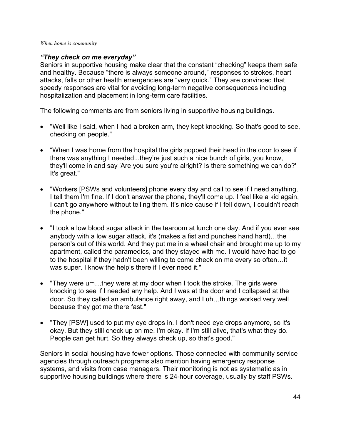## *"They check on me everyday"*

Seniors in supportive housing make clear that the constant "checking" keeps them safe and healthy. Because "there is always someone around," responses to strokes, heart attacks, falls or other health emergencies are "very quick." They are convinced that speedy responses are vital for avoiding long-term negative consequences including hospitalization and placement in long-term care facilities.

The following comments are from seniors living in supportive housing buildings.

- "Well like I said, when I had a broken arm, they kept knocking. So that's good to see, checking on people."
- "When I was home from the hospital the girls popped their head in the door to see if there was anything I needed...they're just such a nice bunch of girls, you know, they'll come in and say 'Are you sure you're alright? Is there something we can do?' It's great."
- "Workers [PSWs and volunteers] phone every day and call to see if I need anything, I tell them I'm fine. If I don't answer the phone, they'll come up. I feel like a kid again, I can't go anywhere without telling them. It's nice cause if I fell down, I couldn't reach the phone."
- "I took a low blood sugar attack in the tearoom at lunch one day. And if you ever see anybody with a low sugar attack, it's (makes a fist and punches hand hard)…the person's out of this world. And they put me in a wheel chair and brought me up to my apartment, called the paramedics, and they stayed with me. I would have had to go to the hospital if they hadn't been willing to come check on me every so often…it was super. I know the help's there if I ever need it."
- "They were um…they were at my door when I took the stroke. The girls were knocking to see if I needed any help. And I was at the door and I collapsed at the door. So they called an ambulance right away, and I uh…things worked very well because they got me there fast."
- "They [PSW] used to put my eye drops in. I don't need eye drops anymore, so it's okay. But they still check up on me. I'm okay. If I'm still alive, that's what they do. People can get hurt. So they always check up, so that's good."

Seniors in social housing have fewer options. Those connected with community service agencies through outreach programs also mention having emergency response systems, and visits from case managers. Their monitoring is not as systematic as in supportive housing buildings where there is 24-hour coverage, usually by staff PSWs.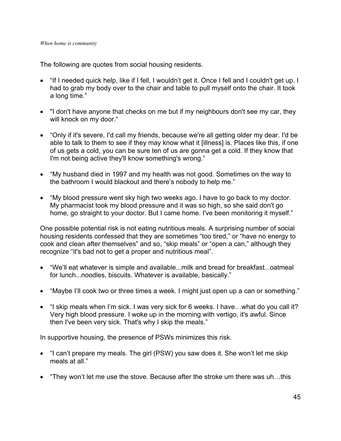The following are quotes from social housing residents.

- "If I needed quick help, like if I fell, I wouldn't get it. Once I fell and I couldn't get up. I had to grab my body over to the chair and table to pull myself onto the chair. It took a long time."
- "I don't have anyone that checks on me but if my neighbours don't see my car, they will knock on my door."
- "Only if it's severe, I'd call my friends, because we're all getting older my dear. I'd be able to talk to them to see if they may know what it [illness] is. Places like this, if one of us gets a cold, you can be sure ten of us are gonna get a cold. If they know that I'm not being active they'll know something's wrong."
- "My husband died in 1997 and my health was not good. Sometimes on the way to the bathroom I would blackout and there's nobody to help me."
- "My blood pressure went sky high two weeks ago. I have to go back to my doctor. My pharmacist took my blood pressure and it was so high, so she said don't go home, go straight to your doctor. But I came home. I've been monitoring it myself."

One possible potential risk is not eating nutritious meals. A surprising number of social housing residents confessed that they are sometimes "too tired," or "have no energy to cook and clean after themselves" and so, "skip meals" or "open a can," although they recognize "it's bad not to get a proper and nutritious meal".

- "We'll eat whatever is simple and available...milk and bread for breakfast...oatmeal for lunch...noodles, biscuits. Whatever is available, basically."
- "Maybe I'll cook two or three times a week. I might just open up a can or something."
- "I skip meals when I'm sick. I was very sick for 6 weeks. I have...what do you call it? Very high blood pressure. I woke up in the morning with vertigo, it's awful. Since then I've been very sick. That's why I skip the meals."

In supportive housing, the presence of PSWs minimizes this risk.

- "I can't prepare my meals. The girl (PSW) you saw does it. She won't let me skip meals at all."
- "They won't let me use the stove. Because after the stroke um there was uh…this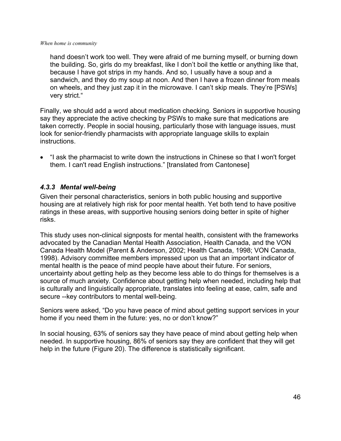hand doesn't work too well. They were afraid of me burning myself, or burning down the building. So, girls do my breakfast, like I don't boil the kettle or anything like that, because I have got strips in my hands. And so, I usually have a soup and a sandwich, and they do my soup at noon. And then I have a frozen dinner from meals on wheels, and they just zap it in the microwave. I can't skip meals. They're [PSWs] very strict."

Finally, we should add a word about medication checking. Seniors in supportive housing say they appreciate the active checking by PSWs to make sure that medications are taken correctly. People in social housing, particularly those with language issues, must look for senior-friendly pharmacists with appropriate language skills to explain instructions.

• "I ask the pharmacist to write down the instructions in Chinese so that I won't forget them. I can't read English instructions." [translated from Cantonese]

## *4.3.3 Mental well-being*

Given their personal characteristics, seniors in both public housing and supportive housing are at relatively high risk for poor mental health. Yet both tend to have positive ratings in these areas, with supportive housing seniors doing better in spite of higher risks.

This study uses non-clinical signposts for mental health, consistent with the frameworks advocated by the Canadian Mental Health Association, Health Canada, and the VON Canada Health Model (Parent & Anderson, 2002; Health Canada, 1998; VON Canada, 1998). Advisory committee members impressed upon us that an important indicator of mental health is the peace of mind people have about their future. For seniors, uncertainty about getting help as they become less able to do things for themselves is a source of much anxiety. Confidence about getting help when needed, including help that is culturally and linguistically appropriate, translates into feeling at ease, calm, safe and secure --key contributors to mental well-being.

Seniors were asked, "Do you have peace of mind about getting support services in your home if you need them in the future: yes, no or don't know?"

In social housing, 63% of seniors say they have peace of mind about getting help when needed. In supportive housing, 86% of seniors say they are confident that they will get help in the future (Figure 20). The difference is statistically significant.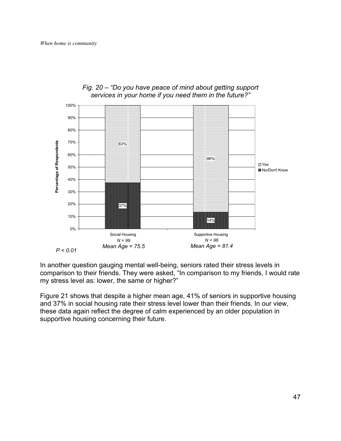

### *Fig. 20 – "Do you have peace of mind about getting support services in your home if you need them in the future?"*

In another question gauging mental well-being, seniors rated their stress levels in comparison to their friends. They were asked, "In comparison to my friends, I would rate my stress level as: lower, the same or higher?"

Figure 21 shows that despite a higher mean age, 41% of seniors in supportive housing and 37% in social housing rate their stress level lower than their friends. In our view, these data again reflect the degree of calm experienced by an older population in supportive housing concerning their future.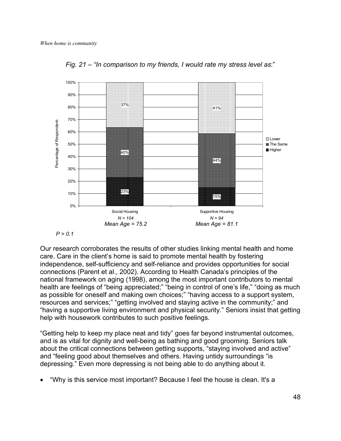

*Fig. 21 – "In comparison to my friends, I would rate my stress level as*:"



Our research corroborates the results of other studies linking mental health and home care. Care in the client's home is said to promote mental health by fostering independence, self-sufficiency and self-reliance and provides opportunities for social connections (Parent et al., 2002). According to Health Canada's principles of the national framework on aging (1998), among the most important contributors to mental health are feelings of "being appreciated;" "being in control of one's life," "doing as much as possible for oneself and making own choices;" "having access to a support system, resources and services;" "getting involved and staying active in the community;" and "having a supportive living environment and physical security." Seniors insist that getting help with housework contributes to such positive feelings.

"Getting help to keep my place neat and tidy" goes far beyond instrumental outcomes, and is as vital for dignity and well-being as bathing and good grooming. Seniors talk about the critical connections between getting supports, "staying involved and active" and "feeling good about themselves and others. Having untidy surroundings "is depressing." Even more depressing is not being able to do anything about it.

• "Why is this service most important? Because I feel the house is clean. It's a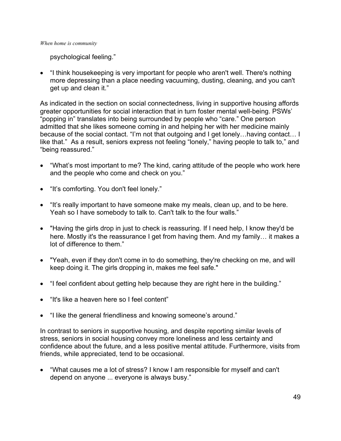psychological feeling."

• "I think housekeeping is very important for people who aren't well. There's nothing more depressing than a place needing vacuuming, dusting, cleaning, and you can't get up and clean it."

As indicated in the section on social connectedness, living in supportive housing affords greater opportunities for social interaction that in turn foster mental well-being. PSWs' "popping in" translates into being surrounded by people who "care." One person admitted that she likes someone coming in and helping her with her medicine mainly because of the social contact. "I'm not that outgoing and I get lonely…having contact… I like that." As a result, seniors express not feeling "lonely," having people to talk to," and "being reassured."

- "What's most important to me? The kind, caring attitude of the people who work here and the people who come and check on you."
- "It's comforting. You don't feel lonely."
- "It's really important to have someone make my meals, clean up, and to be here. Yeah so I have somebody to talk to. Can't talk to the four walls."
- "Having the girls drop in just to check is reassuring. If I need help, I know they'd be here. Mostly it's the reassurance I get from having them. And my family… it makes a lot of difference to them."
- "Yeah, even if they don't come in to do something, they're checking on me, and will keep doing it. The girls dropping in, makes me feel safe."
- "I feel confident about getting help because they are right here in the building."
- "It's like a heaven here so I feel content"
- "I like the general friendliness and knowing someone's around."

In contrast to seniors in supportive housing, and despite reporting similar levels of stress, seniors in social housing convey more loneliness and less certainty and confidence about the future, and a less positive mental attitude. Furthermore, visits from friends, while appreciated, tend to be occasional.

• "What causes me a lot of stress? I know I am responsible for myself and can't depend on anyone ... everyone is always busy."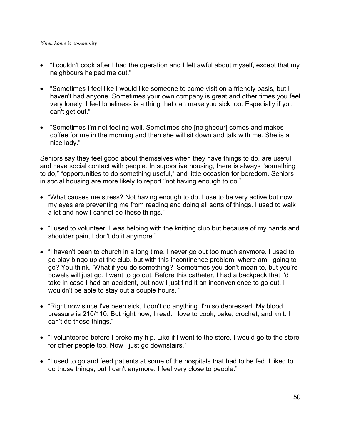- "I couldn't cook after I had the operation and I felt awful about myself, except that my neighbours helped me out."
- "Sometimes I feel like I would like someone to come visit on a friendly basis, but I haven't had anyone. Sometimes your own company is great and other times you feel very lonely. I feel loneliness is a thing that can make you sick too. Especially if you can't get out."
- "Sometimes I'm not feeling well. Sometimes she [neighbour] comes and makes coffee for me in the morning and then she will sit down and talk with me. She is a nice lady."

Seniors say they feel good about themselves when they have things to do, are useful and have social contact with people. In supportive housing, there is always "something to do," "opportunities to do something useful," and little occasion for boredom. Seniors in social housing are more likely to report "not having enough to do."

- "What causes me stress? Not having enough to do. I use to be very active but now my eyes are preventing me from reading and doing all sorts of things. I used to walk a lot and now I cannot do those things."
- "I used to volunteer. I was helping with the knitting club but because of my hands and shoulder pain, I don't do it anymore."
- "I haven't been to church in a long time. I never go out too much anymore. I used to go play bingo up at the club, but with this incontinence problem, where am I going to go? You think, 'What if you do something?' Sometimes you don't mean to, but you're bowels will just go. I want to go out. Before this catheter, I had a backpack that I'd take in case I had an accident, but now I just find it an inconvenience to go out. I wouldn't be able to stay out a couple hours. "
- "Right now since I've been sick, I don't do anything. I'm so depressed. My blood pressure is 210/110. But right now, I read. I love to cook, bake, crochet, and knit. I can't do those things."
- "I volunteered before I broke my hip. Like if I went to the store, I would go to the store for other people too. Now I just go downstairs."
- "I used to go and feed patients at some of the hospitals that had to be fed. I liked to do those things, but I can't anymore. I feel very close to people."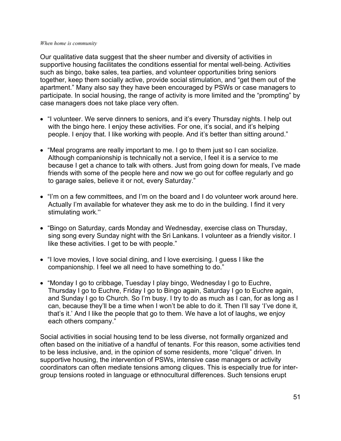Our qualitative data suggest that the sheer number and diversity of activities in supportive housing facilitates the conditions essential for mental well-being. Activities such as bingo, bake sales, tea parties, and volunteer opportunities bring seniors together, keep them socially active, provide social stimulation, and "get them out of the apartment." Many also say they have been encouraged by PSWs or case managers to participate. In social housing, the range of activity is more limited and the "prompting" by case managers does not take place very often.

- "I volunteer. We serve dinners to seniors, and it's every Thursday nights. I help out with the bingo here. I enjoy these activities. For one, it's social, and it's helping people. I enjoy that. I like working with people. And it's better than sitting around."
- "Meal programs are really important to me. I go to them just so I can socialize. Although companionship is technically not a service, I feel it is a service to me because I get a chance to talk with others. Just from going down for meals, I've made friends with some of the people here and now we go out for coffee regularly and go to garage sales, believe it or not, every Saturday."
- "I'm on a few committees, and I'm on the board and I do volunteer work around here. Actually I'm available for whatever they ask me to do in the building. I find it very stimulating work."
- "Bingo on Saturday, cards Monday and Wednesday, exercise class on Thursday, sing song every Sunday night with the Sri Lankans. I volunteer as a friendly visitor. I like these activities. I get to be with people."
- "I love movies, I love social dining, and I love exercising. I guess I like the companionship. I feel we all need to have something to do."
- "Monday I go to cribbage, Tuesday I play bingo, Wednesday I go to Euchre, Thursday I go to Euchre, Friday I go to Bingo again, Saturday I go to Euchre again, and Sunday I go to Church. So I'm busy. I try to do as much as I can, for as long as I can, because they'll be a time when I won't be able to do it. Then I'll say 'I've done it, that's it.' And I like the people that go to them. We have a lot of laughs, we enjoy each others company."

Social activities in social housing tend to be less diverse, not formally organized and often based on the initiative of a handful of tenants. For this reason, some activities tend to be less inclusive, and, in the opinion of some residents, more "clique" driven. In supportive housing, the intervention of PSWs, intensive case managers or activity coordinators can often mediate tensions among cliques. This is especially true for intergroup tensions rooted in language or ethnocultural differences. Such tensions erupt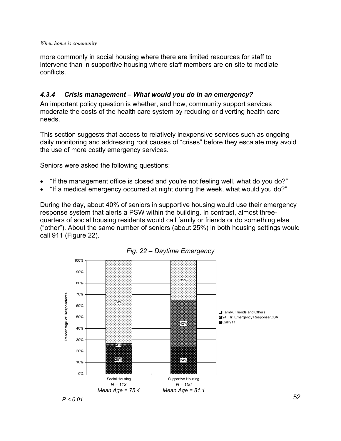more commonly in social housing where there are limited resources for staff to intervene than in supportive housing where staff members are on-site to mediate conflicts.

## *4.3.4 Crisis management – What would you do in an emergency?*

An important policy question is whether, and how, community support services moderate the costs of the health care system by reducing or diverting health care needs.

This section suggests that access to relatively inexpensive services such as ongoing daily monitoring and addressing root causes of "crises" before they escalate may avoid the use of more costly emergency services.

Seniors were asked the following questions:

- "If the management office is closed and you're not feeling well, what do you do?"
- "If a medical emergency occurred at night during the week, what would you do?"

During the day, about 40% of seniors in supportive housing would use their emergency response system that alerts a PSW within the building. In contrast, almost threequarters of social housing residents would call family or friends or do something else ("other"). About the same number of seniors (about 25%) in both housing settings would call 911 (Figure 22).



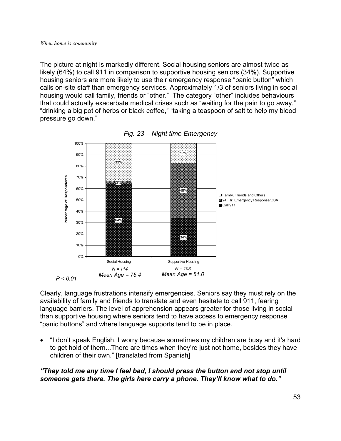The picture at night is markedly different. Social housing seniors are almost twice as likely (64%) to call 911 in comparison to supportive housing seniors (34%). Supportive housing seniors are more likely to use their emergency response "panic button" which calls on-site staff than emergency services. Approximately 1/3 of seniors living in social housing would call family, friends or "other." The category "other" includes behaviours that could actually exacerbate medical crises such as "waiting for the pain to go away," "drinking a big pot of herbs or black coffee," "taking a teaspoon of salt to help my blood pressure go down."



*Fig. 23 – Night time Emergency* 

Clearly, language frustrations intensify emergencies. Seniors say they must rely on the availability of family and friends to translate and even hesitate to call 911, fearing language barriers. The level of apprehension appears greater for those living in social than supportive housing where seniors tend to have access to emergency response "panic buttons" and where language supports tend to be in place.

• "I don't speak English. I worry because sometimes my children are busy and it's hard to get hold of them...There are times when they're just not home, besides they have children of their own." [translated from Spanish]

## *"They told me any time I feel bad, I should press the button and not stop until someone gets there. The girls here carry a phone. They'll know what to do."*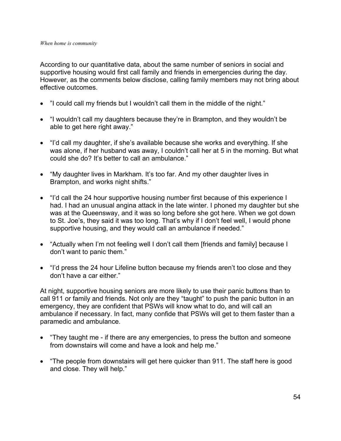According to our quantitative data, about the same number of seniors in social and supportive housing would first call family and friends in emergencies during the day. However, as the comments below disclose, calling family members may not bring about effective outcomes.

- "I could call my friends but I wouldn't call them in the middle of the night."
- "I wouldn't call my daughters because they're in Brampton, and they wouldn't be able to get here right away."
- "I'd call my daughter, if she's available because she works and everything. If she was alone, if her husband was away, I couldn't call her at 5 in the morning. But what could she do? It's better to call an ambulance."
- "My daughter lives in Markham. It's too far. And my other daughter lives in Brampton, and works night shifts."
- "I'd call the 24 hour supportive housing number first because of this experience I had. I had an unusual angina attack in the late winter. I phoned my daughter but she was at the Queensway, and it was so long before she got here. When we got down to St. Joe's, they said it was too long. That's why if I don't feel well, I would phone supportive housing, and they would call an ambulance if needed."
- "Actually when I'm not feeling well I don't call them [friends and family] because I don't want to panic them."
- "I'd press the 24 hour Lifeline button because my friends aren't too close and they don't have a car either."

At night, supportive housing seniors are more likely to use their panic buttons than to call 911 or family and friends. Not only are they "taught" to push the panic button in an emergency, they are confident that PSWs will know what to do, and will call an ambulance if necessary. In fact, many confide that PSWs will get to them faster than a paramedic and ambulance.

- "They taught me if there are any emergencies, to press the button and someone from downstairs will come and have a look and help me."
- "The people from downstairs will get here quicker than 911. The staff here is good and close. They will help."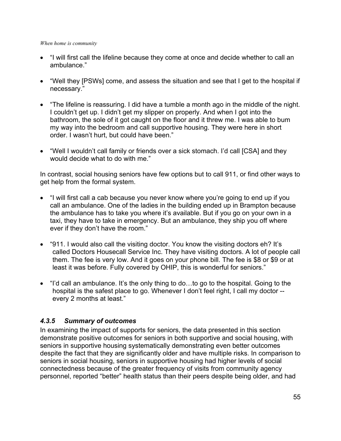- "I will first call the lifeline because they come at once and decide whether to call an ambulance."
- "Well they [PSWs] come, and assess the situation and see that I get to the hospital if necessary."
- "The lifeline is reassuring. I did have a tumble a month ago in the middle of the night. I couldn't get up. I didn't get my slipper on properly. And when I got into the bathroom, the sole of it got caught on the floor and it threw me. I was able to bum my way into the bedroom and call supportive housing. They were here in short order. I wasn't hurt, but could have been."
- "Well I wouldn't call family or friends over a sick stomach. I'd call [CSA] and they would decide what to do with me."

In contrast, social housing seniors have few options but to call 911, or find other ways to get help from the formal system.

- "I will first call a cab because you never know where you're going to end up if you call an ambulance. One of the ladies in the building ended up in Brampton because the ambulance has to take you where it's available. But if you go on your own in a taxi, they have to take in emergency. But an ambulance, they ship you off where ever if they don't have the room."
- "911. I would also call the visiting doctor. You know the visiting doctors eh? It's called Doctors Housecall Service Inc. They have visiting doctors. A lot of people call them. The fee is very low. And it goes on your phone bill. The fee is \$8 or \$9 or at least it was before. Fully covered by OHIP, this is wonderful for seniors."
- "I'd call an ambulance. It's the only thing to do…to go to the hospital. Going to the hospital is the safest place to go. Whenever I don't feel right, I call my doctor - every 2 months at least."

## *4.3.5 Summary of outcomes*

In examining the impact of supports for seniors, the data presented in this section demonstrate positive outcomes for seniors in both supportive and social housing, with seniors in supportive housing systematically demonstrating even better outcomes despite the fact that they are significantly older and have multiple risks. In comparison to seniors in social housing, seniors in supportive housing had higher levels of social connectedness because of the greater frequency of visits from community agency personnel, reported "better" health status than their peers despite being older, and had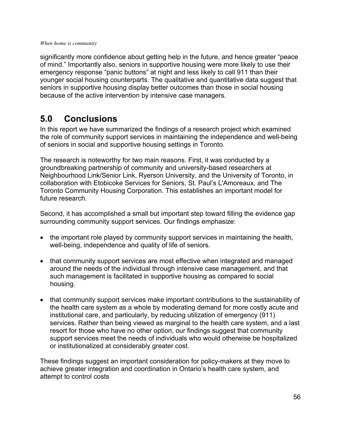significantly more confidence about getting help in the future, and hence greater "peace of mind." Importantly also, seniors in supportive housing were more likely to use their emergency response "panic buttons" at night and less likely to call 911 than their younger social housing counterparts. The qualitative and quantitative data suggest that seniors in supportive housing display better outcomes than those in social housing because of the active intervention by intensive case managers.

# **5.0 Conclusions**

In this report we have summarized the findings of a research project which examined the role of community support services in maintaining the independence and well-being of seniors in social and supportive housing settings in Toronto.

The research is noteworthy for two main reasons. First, it was conducted by a groundbreaking partnership of community and university-based researchers at Neighbourhood Link/Senior Link, Ryerson University, and the University of Toronto, in collaboration with Etobicoke Services for Seniors, St. Paul's L'Amoreaux, and The Toronto Community Housing Corporation. This establishes an important model for future research.

Second, it has accomplished a small but important step toward filling the evidence gap surrounding community support services. Our findings emphasize:

- the important role played by community support services in maintaining the health, well-being, independence and quality of life of seniors.
- that community support services are most effective when integrated and managed around the needs of the individual through intensive case management, and that such management is facilitated in supportive housing as compared to social housing.
- that community support services make important contributions to the sustainability of the health care system as a whole by moderating demand for more costly acute and institutional care, and particularly, by reducing utilization of emergency (911) services. Rather than being viewed as marginal to the health care system, and a last resort for those who have no other option, our findings suggest that community support services meet the needs of individuals who would otherwise be hospitalized or institutionalized at considerably greater cost.

These findings suggest an important consideration for policy-makers at they move to achieve greater integration and coordination in Ontario's health care system, and attempt to control costs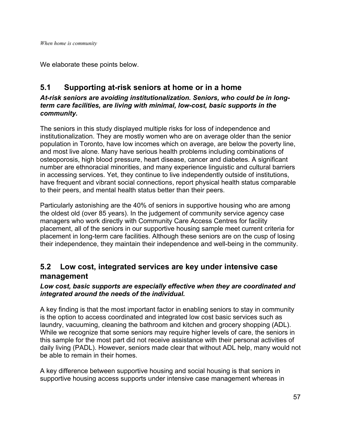We elaborate these points below.

# **5.1 Supporting at-risk seniors at home or in a home**

## *At-risk seniors are avoiding institutionalization. Seniors, who could be in longterm care facilities, are living with minimal, low-cost, basic supports in the community.*

The seniors in this study displayed multiple risks for loss of independence and institutionalization. They are mostly women who are on average older than the senior population in Toronto, have low incomes which on average, are below the poverty line, and most live alone. Many have serious health problems including combinations of osteoporosis, high blood pressure, heart disease, cancer and diabetes. A significant number are ethnoracial minorities, and many experience linguistic and cultural barriers in accessing services. Yet, they continue to live independently outside of institutions, have frequent and vibrant social connections, report physical health status comparable to their peers, and mental health status better than their peers.

Particularly astonishing are the 40% of seniors in supportive housing who are among the oldest old (over 85 years). In the judgement of community service agency case managers who work directly with Community Care Access Centres for facility placement, all of the seniors in our supportive housing sample meet current criteria for placement in long-term care facilities. Although these seniors are on the cusp of losing their independence, they maintain their independence and well-being in the community.

# **5.2 Low cost, integrated services are key under intensive case management**

## *Low cost, basic supports are especially effective when they are coordinated and integrated around the needs of the individual.*

A key finding is that the most important factor in enabling seniors to stay in community is the option to access coordinated and integrated low cost basic services such as laundry, vacuuming, cleaning the bathroom and kitchen and grocery shopping (ADL). While we recognize that some seniors may require higher levels of care, the seniors in this sample for the most part did not receive assistance with their personal activities of daily living (PADL). However, seniors made clear that without ADL help, many would not be able to remain in their homes.

A key difference between supportive housing and social housing is that seniors in supportive housing access supports under intensive case management whereas in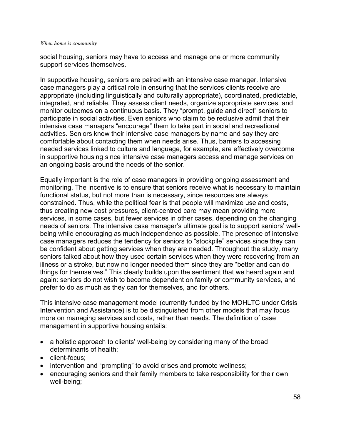social housing, seniors may have to access and manage one or more community support services themselves.

In supportive housing, seniors are paired with an intensive case manager. Intensive case managers play a critical role in ensuring that the services clients receive are appropriate (including linguistically and culturally appropriate), coordinated, predictable, integrated, and reliable. They assess client needs, organize appropriate services, and monitor outcomes on a continuous basis. They "prompt, guide and direct" seniors to participate in social activities. Even seniors who claim to be reclusive admit that their intensive case managers "encourage" them to take part in social and recreational activities. Seniors know their intensive case managers by name and say they are comfortable about contacting them when needs arise. Thus, barriers to accessing needed services linked to culture and language, for example, are effectively overcome in supportive housing since intensive case managers access and manage services on an ongoing basis around the needs of the senior.

Equally important is the role of case managers in providing ongoing assessment and monitoring. The incentive is to ensure that seniors receive what is necessary to maintain functional status, but not more than is necessary, since resources are always constrained. Thus, while the political fear is that people will maximize use and costs, thus creating new cost pressures, client-centred care may mean providing more services, in some cases, but fewer services in other cases, depending on the changing needs of seniors. The intensive case manager's ultimate goal is to support seniors' wellbeing while encouraging as much independence as possible. The presence of intensive case managers reduces the tendency for seniors to "stockpile" services since they can be confident about getting services when they are needed. Throughout the study, many seniors talked about how they used certain services when they were recovering from an illness or a stroke, but now no longer needed them since they are "better and can do things for themselves." This clearly builds upon the sentiment that we heard again and again: seniors do not wish to become dependent on family or community services, and prefer to do as much as they can for themselves, and for others.

This intensive case management model (currently funded by the MOHLTC under Crisis Intervention and Assistance) is to be distinguished from other models that may focus more on managing services and costs, rather than needs. The definition of case management in supportive housing entails:

- a holistic approach to clients' well-being by considering many of the broad determinants of health;
- client-focus;
- intervention and "prompting" to avoid crises and promote wellness;
- encouraging seniors and their family members to take responsibility for their own well-being;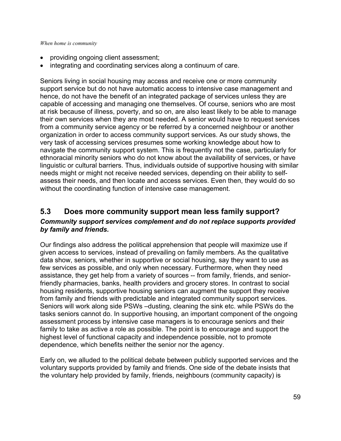- providing ongoing client assessment;
- integrating and coordinating services along a continuum of care.

Seniors living in social housing may access and receive one or more community support service but do not have automatic access to intensive case management and hence, do not have the benefit of an integrated package of services unless they are capable of accessing and managing one themselves. Of course, seniors who are most at risk because of illness, poverty, and so on, are also least likely to be able to manage their own services when they are most needed. A senior would have to request services from a community service agency or be referred by a concerned neighbour or another organization in order to access community support services. As our study shows, the very task of accessing services presumes some working knowledge about how to navigate the community support system. This is frequently not the case, particularly for ethnoracial minority seniors who do not know about the availability of services, or have linguistic or cultural barriers. Thus, individuals outside of supportive housing with similar needs might or might not receive needed services, depending on their ability to selfassess their needs, and then locate and access services. Even then, they would do so without the coordinating function of intensive case management.

## **5.3 Does more community support mean less family support?**  *Community support services complement and do not replace supports provided by family and friends.*

Our findings also address the political apprehension that people will maximize use if given access to services, instead of prevailing on family members. As the qualitative data show, seniors, whether in supportive or social housing, say they want to use as few services as possible, and only when necessary. Furthermore, when they need assistance, they get help from a variety of sources -- from family, friends, and seniorfriendly pharmacies, banks, health providers and grocery stores. In contrast to social housing residents, supportive housing seniors can augment the support they receive from family and friends with predictable and integrated community support services. Seniors will work along side PSWs –dusting, cleaning the sink etc. while PSWs do the tasks seniors cannot do. In supportive housing, an important component of the ongoing assessment process by intensive case managers is to encourage seniors and their family to take as active a role as possible. The point is to encourage and support the highest level of functional capacity and independence possible, not to promote dependence, which benefits neither the senior nor the agency.

Early on, we alluded to the political debate between publicly supported services and the voluntary supports provided by family and friends. One side of the debate insists that the voluntary help provided by family, friends, neighbours (community capacity) is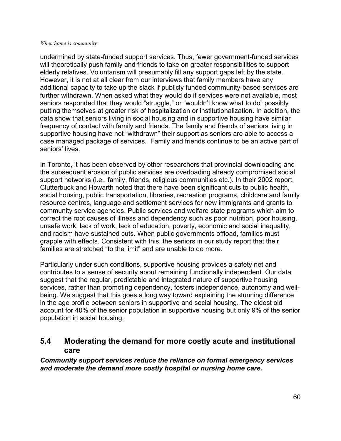undermined by state-funded support services. Thus, fewer government-funded services will theoretically push family and friends to take on greater responsibilities to support elderly relatives. Voluntarism will presumably fill any support gaps left by the state. However, it is not at all clear from our interviews that family members have any additional capacity to take up the slack if publicly funded community-based services are further withdrawn. When asked what they would do if services were not available, most seniors responded that they would "struggle," or "wouldn't know what to do" possibly putting themselves at greater risk of hospitalization or institutionalization. In addition, the data show that seniors living in social housing and in supportive housing have similar frequency of contact with family and friends. The family and friends of seniors living in supportive housing have not "withdrawn" their support as seniors are able to access a case managed package of services. Family and friends continue to be an active part of seniors' lives.

In Toronto, it has been observed by other researchers that provincial downloading and the subsequent erosion of public services are overloading already compromised social support networks (i.e., family, friends, religious communities etc.). In their 2002 report, Clutterbuck and Howarth noted that there have been significant cuts to public health, social housing, public transportation, libraries, recreation programs, childcare and family resource centres, language and settlement services for new immigrants and grants to community service agencies. Public services and welfare state programs which aim to correct the root causes of illness and dependency such as poor nutrition, poor housing, unsafe work, lack of work, lack of education, poverty, economic and social inequality, and racism have sustained cuts. When public governments offload, families must grapple with effects. Consistent with this, the seniors in our study report that their families are stretched "to the limit" and are unable to do more.

Particularly under such conditions, supportive housing provides a safety net and contributes to a sense of security about remaining functionally independent. Our data suggest that the regular, predictable and integrated nature of supportive housing services, rather than promoting dependency, fosters independence, autonomy and wellbeing. We suggest that this goes a long way toward explaining the stunning difference in the age profile between seniors in supportive and social housing. The oldest old account for 40% of the senior population in supportive housing but only 9% of the senior population in social housing.

## **5.4 Moderating the demand for more costly acute and institutional care**

*Community support services reduce the reliance on formal emergency services and moderate the demand more costly hospital or nursing home care.*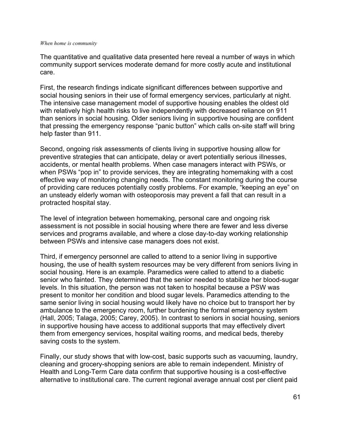The quantitative and qualitative data presented here reveal a number of ways in which community support services moderate demand for more costly acute and institutional care.

First, the research findings indicate significant differences between supportive and social housing seniors in their use of formal emergency services, particularly at night. The intensive case management model of supportive housing enables the oldest old with relatively high health risks to live independently with decreased reliance on 911 than seniors in social housing. Older seniors living in supportive housing are confident that pressing the emergency response "panic button" which calls on-site staff will bring help faster than 911.

Second, ongoing risk assessments of clients living in supportive housing allow for preventive strategies that can anticipate, delay or avert potentially serious illnesses, accidents, or mental health problems. When case managers interact with PSWs, or when PSWs "pop in" to provide services, they are integrating homemaking with a cost effective way of monitoring changing needs. The constant monitoring during the course of providing care reduces potentially costly problems. For example, "keeping an eye" on an unsteady elderly woman with osteoporosis may prevent a fall that can result in a protracted hospital stay.

The level of integration between homemaking, personal care and ongoing risk assessment is not possible in social housing where there are fewer and less diverse services and programs available, and where a close day-to-day working relationship between PSWs and intensive case managers does not exist.

Third, if emergency personnel are called to attend to a senior living in supportive housing, the use of health system resources may be very different from seniors living in social housing. Here is an example. Paramedics were called to attend to a diabetic senior who fainted. They determined that the senior needed to stabilize her blood-sugar levels. In this situation, the person was not taken to hospital because a PSW was present to monitor her condition and blood sugar levels. Paramedics attending to the same senior living in social housing would likely have no choice but to transport her by ambulance to the emergency room, further burdening the formal emergency system (Hall, 2005; Talaga, 2005; Carey, 2005). In contrast to seniors in social housing, seniors in supportive housing have access to additional supports that may effectively divert them from emergency services, hospital waiting rooms, and medical beds, thereby saving costs to the system.

Finally, our study shows that with low-cost, basic supports such as vacuuming, laundry, cleaning and grocery-shopping seniors are able to remain independent. Ministry of Health and Long-Term Care data confirm that supportive housing is a cost-effective alternative to institutional care. The current regional average annual cost per client paid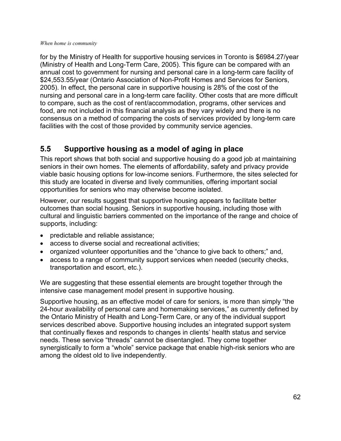for by the Ministry of Health for supportive housing services in Toronto is \$6984.27/year (Ministry of Health and Long-Term Care, 2005). This figure can be compared with an annual cost to government for nursing and personal care in a long-term care facility of \$24,553.55/year (Ontario Association of Non-Profit Homes and Services for Seniors, 2005). In effect, the personal care in supportive housing is 28% of the cost of the nursing and personal care in a long-term care facility. Other costs that are more difficult to compare, such as the cost of rent/accommodation, programs, other services and food, are not included in this financial analysis as they vary widely and there is no consensus on a method of comparing the costs of services provided by long-term care facilities with the cost of those provided by community service agencies.

# **5.5 Supportive housing as a model of aging in place**

This report shows that both social and supportive housing do a good job at maintaining seniors in their own homes. The elements of affordability, safety and privacy provide viable basic housing options for low-income seniors. Furthermore, the sites selected for this study are located in diverse and lively communities, offering important social opportunities for seniors who may otherwise become isolated.

However, our results suggest that supportive housing appears to facilitate better outcomes than social housing. Seniors in supportive housing, including those with cultural and linguistic barriers commented on the importance of the range and choice of supports, including:

- predictable and reliable assistance;
- access to diverse social and recreational activities;
- organized volunteer opportunities and the "chance to give back to others;" and,
- access to a range of community support services when needed (security checks, transportation and escort, etc.).

We are suggesting that these essential elements are brought together through the intensive case management model present in supportive housing.

Supportive housing, as an effective model of care for seniors, is more than simply "the 24-hour availability of personal care and homemaking services," as currently defined by the Ontario Ministry of Health and Long-Term Care, or any of the individual support services described above. Supportive housing includes an integrated support system that continually flexes and responds to changes in clients' health status and service needs. These service "threads" cannot be disentangled. They come together synergistically to form a "whole" service package that enable high-risk seniors who are among the oldest old to live independently.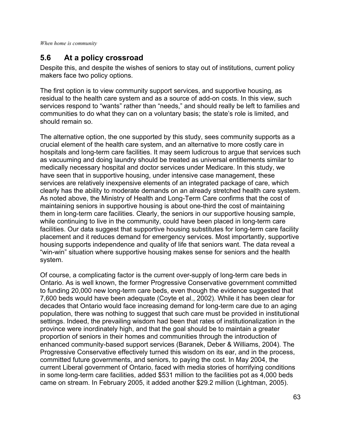# **5.6 At a policy crossroad**

Despite this, and despite the wishes of seniors to stay out of institutions, current policy makers face two policy options.

The first option is to view community support services, and supportive housing, as residual to the health care system and as a source of add-on costs. In this view, such services respond to "wants" rather than "needs," and should really be left to families and communities to do what they can on a voluntary basis; the state's role is limited, and should remain so.

The alternative option, the one supported by this study, sees community supports as a crucial element of the health care system, and an alternative to more costly care in hospitals and long-term care facilities. It may seem ludicrous to argue that services such as vacuuming and doing laundry should be treated as universal entitlements similar to medically necessary hospital and doctor services under Medicare. In this study, we have seen that in supportive housing, under intensive case management, these services are relatively inexpensive elements of an integrated package of care, which clearly has the ability to moderate demands on an already stretched health care system. As noted above, the Ministry of Health and Long-Term Care confirms that the cost of maintaining seniors in supportive housing is about one-third the cost of maintaining them in long-term care facilities. Clearly, the seniors in our supportive housing sample, while continuing to live in the community, could have been placed in long-term care facilities. Our data suggest that supportive housing substitutes for long-term care facility placement and it reduces demand for emergency services. Most importantly, supportive housing supports independence and quality of life that seniors want. The data reveal a "win-win" situation where supportive housing makes sense for seniors and the health system.

Of course, a complicating factor is the current over-supply of long-term care beds in Ontario. As is well known, the former Progressive Conservative government committed to funding 20,000 new long-term care beds, even though the evidence suggested that 7,600 beds would have been adequate (Coyte et al., 2002). While it has been clear for decades that Ontario would face increasing demand for long-term care due to an aging population, there was nothing to suggest that such care must be provided in institutional settings. Indeed, the prevailing wisdom had been that rates of institutionalization in the province were inordinately high, and that the goal should be to maintain a greater proportion of seniors in their homes and communities through the introduction of enhanced community-based support services (Baranek, Deber & Williams, 2004). The Progressive Conservative effectively turned this wisdom on its ear, and in the process, committed future governments, and seniors, to paying the cost. In May 2004, the current Liberal government of Ontario, faced with media stories of horrifying conditions in some long-term care facilities, added \$531 million to the facilities pot as 4,000 beds came on stream. In February 2005, it added another \$29.2 million (Lightman, 2005).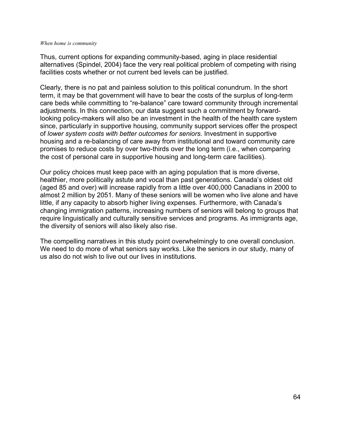Thus, current options for expanding community-based, aging in place residential alternatives (Spindel, 2004) face the very real political problem of competing with rising facilities costs whether or not current bed levels can be justified.

Clearly, there is no pat and painless solution to this political conundrum. In the short term, it may be that government will have to bear the costs of the surplus of long-term care beds while committing to "re-balance" care toward community through incremental adjustments. In this connection, our data suggest such a commitment by forwardlooking policy-makers will also be an investment in the health of the health care system since, particularly in supportive housing, community support services offer the prospect of *lower system costs with better outcomes for seniors*. Investment in supportive housing and a re-balancing of care away from institutional and toward community care promises to reduce costs by over two-thirds over the long term (i.e., when comparing the cost of personal care in supportive housing and long-term care facilities).

Our policy choices must keep pace with an aging population that is more diverse, healthier, more politically astute and vocal than past generations. Canada's oldest old (aged 85 and over) will increase rapidly from a little over 400,000 Canadians in 2000 to almost 2 million by 2051. Many of these seniors will be women who live alone and have little, if any capacity to absorb higher living expenses. Furthermore, with Canada's changing immigration patterns, increasing numbers of seniors will belong to groups that require linguistically and culturally sensitive services and programs. As immigrants age, the diversity of seniors will also likely also rise.

The compelling narratives in this study point overwhelmingly to one overall conclusion. We need to do more of what seniors say works. Like the seniors in our study, many of us also do not wish to live out our lives in institutions.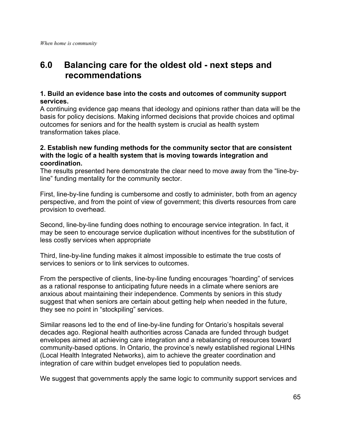# **6.0 Balancing care for the oldest old - next steps and recommendations**

## **1. Build an evidence base into the costs and outcomes of community support services.**

A continuing evidence gap means that ideology and opinions rather than data will be the basis for policy decisions. Making informed decisions that provide choices and optimal outcomes for seniors and for the health system is crucial as health system transformation takes place.

## **2. Establish new funding methods for the community sector that are consistent with the logic of a health system that is moving towards integration and coordination.**

The results presented here demonstrate the clear need to move away from the "line-byline" funding mentality for the community sector.

First, line-by-line funding is cumbersome and costly to administer, both from an agency perspective, and from the point of view of government; this diverts resources from care provision to overhead.

Second, line-by-line funding does nothing to encourage service integration. In fact, it may be seen to encourage service duplication without incentives for the substitution of less costly services when appropriate

Third, line-by-line funding makes it almost impossible to estimate the true costs of services to seniors or to link services to outcomes.

From the perspective of clients, line-by-line funding encourages "hoarding" of services as a rational response to anticipating future needs in a climate where seniors are anxious about maintaining their independence. Comments by seniors in this study suggest that when seniors are certain about getting help when needed in the future, they see no point in "stockpiling" services.

Similar reasons led to the end of line-by-line funding for Ontario's hospitals several decades ago. Regional health authorities across Canada are funded through budget envelopes aimed at achieving care integration and a rebalancing of resources toward community-based options. In Ontario, the province's newly established regional LHINs (Local Health Integrated Networks), aim to achieve the greater coordination and integration of care within budget envelopes tied to population needs.

We suggest that governments apply the same logic to community support services and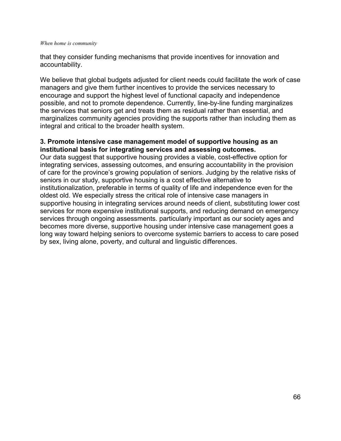that they consider funding mechanisms that provide incentives for innovation and accountability.

We believe that global budgets adjusted for client needs could facilitate the work of case managers and give them further incentives to provide the services necessary to encourage and support the highest level of functional capacity and independence possible, and not to promote dependence. Currently, line-by-line funding marginalizes the services that seniors get and treats them as residual rather than essential, and marginalizes community agencies providing the supports rather than including them as integral and critical to the broader health system.

### **3. Promote intensive case management model of supportive housing as an institutional basis for integrating services and assessing outcomes.**

Our data suggest that supportive housing provides a viable, cost-effective option for integrating services, assessing outcomes, and ensuring accountability in the provision of care for the province's growing population of seniors. Judging by the relative risks of seniors in our study, supportive housing is a cost effective alternative to institutionalization, preferable in terms of quality of life and independence even for the oldest old. We especially stress the critical role of intensive case managers in supportive housing in integrating services around needs of client, substituting lower cost services for more expensive institutional supports, and reducing demand on emergency services through ongoing assessments. particularly important as our society ages and becomes more diverse, supportive housing under intensive case management goes a long way toward helping seniors to overcome systemic barriers to access to care posed by sex, living alone, poverty, and cultural and linguistic differences.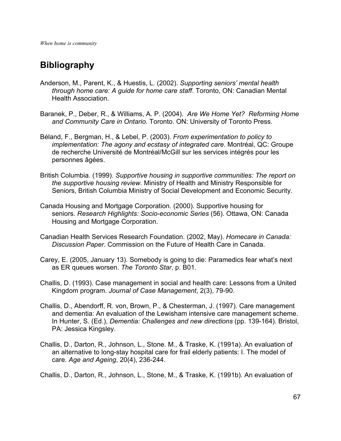# **Bibliography**

- Anderson, M., Parent, K., & Huestis, L. (2002). *Supporting seniors' mental health through home care: A guide for home care staff*. Toronto, ON: Canadian Mental Health Association.
- Baranek, P., Deber, R., & Williams, A. P. (2004). *Are We Home Yet? Reforming Home and Community Care in Ontario*. Toronto. ON: University of Toronto Press.
- Béland, F., Bergman, H., & Lebel, P. (2003). *From experimentation to policy to implementation: The agony and ecstasy of integrated care*. Montréal, QC: Groupe de recherche Université de Montréal/McGill sur les services intégrés pour les personnes âgées.
- British Columbia. (1999). *Supportive housing in supportive communities: The report on the supportive housing review*. Ministry of Health and Ministry Responsible for Seniors, British Columbia Ministry of Social Development and Economic Security.
- Canada Housing and Mortgage Corporation. (2000). Supportive housing for seniors. *Research Highlights: Socio-economic Series* (56). Ottawa, ON: Canada Housing and Mortgage Corporation.
- Canadian Health Services Research Foundation. (2002, May). *Homecare in Canada: Discussion Paper*. Commission on the Future of Health Care in Canada.
- Carey, E. (2005, January 13). Somebody is going to die: Paramedics fear what's next as ER queues worsen. *The Toronto Star*, p. B01.
- Challis, D. (1993). Case management in social and health care: Lessons from a United Kingdom program. *Journal of Case Management*, 2(3), 79-90.
- Challis, D., Abendorff, R. von, Brown, P., & Chesterman, J. (1997). Care management and dementia: An evaluation of the Lewisham intensive care management scheme. In Hunter, S. (Ed.), *Dementia: Challenges and new directions* (pp. 139-164). Bristol, PA: Jessica Kingsley.
- Challis, D., Darton, R., Johnson, L., Stone. M., & Traske, K. (1991a). An evaluation of an alternative to long-stay hospital care for frail elderly patients: I. The model of care. *Age and Ageing*, 20(4), 236-244.

Challis, D., Darton, R., Johnson, L., Stone, M., & Traske, K. (1991b). An evaluation of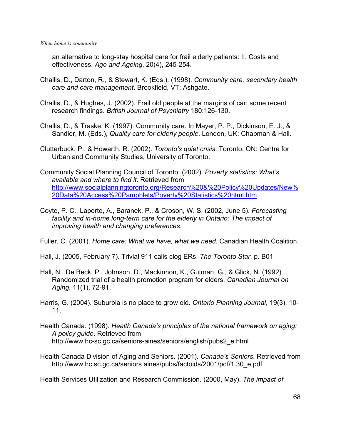an alternative to long-stay hospital care for frail elderly patients: II. Costs and effectiveness. *Age and Ageing*, 20(4), 245-254.

- Challis, D., Darton, R., & Stewart, K. (Eds.). (1998). *Community care, secondary health care and care management*. Brookfield, VT: Ashgate.
- Challis, D., & Hughes, J. (2002). Frail old people at the margins of car: some recent research findings. *British Journal of Psychiatry* 180:126-130.
- Challis, D., & Traske, K. (1997). Community care. In Mayer, P. P., Dickinson, E. J., & Sandler, M. (Eds.), *Quality care for elderly people*. London, UK: Chapman & Hall.
- Clutterbuck, P., & Howarth, R. (2002). *Toronto's quiet crisis*. Toronto, ON: Centre for Urban and Community Studies, University of Toronto.
- Community Social Planning Council of Toronto. (2002). *Poverty statistics: What's available and where to find it*. Retrieved from [http://www.socialplanningtoronto.org/Research%20&%20Policy%20Updates/New%](http://www.socialplanningtoronto.org/Research & Policy Updates/New Data Access Pamphlets/Poverty Statistics html.htm) [20Data%20Access%20Pamphlets/Poverty%20Statistics%20html.htm](http://www.socialplanningtoronto.org/Research & Policy Updates/New Data Access Pamphlets/Poverty Statistics html.htm)
- Coyte, P. C., Laporte, A., Baranek, P., & Croson, W. S. (2002, June 5). *Forecasting facility and in-home long-term care for the elderly in Ontario: The impact of improving health and changing preferences*.

Fuller, C. (2001). *Home care: What we have, what we need*. Canadian Health Coalition.

Hall, J. (2005, February 7). Trivial 911 calls clog ERs. *The Toronto Star*, p. B01

- Hall, N., De Beck, P., Johnson, D., Mackinnon, K., Gutman, G., & Glick, N. (1992) Randomized trial of a health promotion program for elders. *Canadian Journal on Aging*, 11(1), 72-91.
- Harris, G. (2004). Suburbia is no place to grow old. *Ontario Planning Journal*, 19(3), 10- 11.
- Health Canada. (1998). *Health Canada's principles of the national framework on aging: A policy guide*. Retrieved from http://www.hc-sc.gc.ca/seniors-aines/seniors/english/pubs2\_e.html
- Health Canada Division of Aging and Seniors. (2001). *Canada's Seniors*. Retrieved from http://www.hc sc.gc.ca/seniors aines/pubs/factoids/2001/pdf/1 30 e.pdf

Health Services Utilization and Research Commission. (2000, May). *The impact of*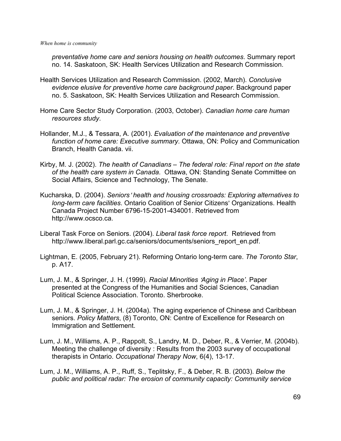*preventative home care and seniors housing on health outcomes*. Summary report no. 14. Saskatoon, SK: Health Services Utilization and Research Commission.

- Health Services Utilization and Research Commission. (2002, March). *Conclusive evidence elusive for preventive home care background paper*. Background paper no. 5. Saskatoon, SK: Health Services Utilization and Research Commission.
- Home Care Sector Study Corporation. (2003, October). *Canadian home care human resources study*.
- Hollander, M.J., & Tessara, A. (2001). *Evaluation of the maintenance and preventive function of home care: Executive summary*. Ottawa, ON: Policy and Communication Branch, Health Canada. vii.
- Kirby, M. J. (2002). *The health of Canadians The federal role: Final report on the state of the health care system in Canada*. Ottawa, ON: Standing Senate Committee on Social Affairs, Science and Technology, The Senate.
- Kucharska, D. (2004). *Seniors*= *health and housing crossroads: Exploring alternatives to long-term care facilities*. Ontario Coalition of Senior Citizens' Organizations. Health Canada Project Number 6796-15-2001-434001. Retrieved from http://www.ocsco.ca.
- Liberal Task Force on Seniors. (2004). *Liberal task force report*. Retrieved from http://www.liberal.parl.gc.ca/seniors/documents/seniors\_report\_en.pdf.
- Lightman, E. (2005, February 21). Reforming Ontario long-term care. *The Toronto Star*, p. A17.
- Lum, J. M., & Springer, J. H. (1999). *Racial Minorities 'Aging in Place'*. Paper presented at the Congress of the Humanities and Social Sciences, Canadian Political Science Association. Toronto. Sherbrooke.
- Lum, J. M., & Springer, J. H. (2004a). The aging experience of Chinese and Caribbean seniors. *Policy Matters*, (8) Toronto, ON: Centre of Excellence for Research on Immigration and Settlement.
- Lum, J. M., Williams, A. P., Rappolt, S., Landry, M. D., Deber, R., & Verrier, M. (2004b). Meeting the challenge of diversity : Results from the 2003 survey of occupational therapists in Ontario. *Occupational Therapy Now*, 6(4), 13-17.
- Lum, J. M., Williams, A. P., Ruff, S., Teplitsky, F., & Deber, R. B. (2003). *Below the public and political radar: The erosion of community capacity: Community service*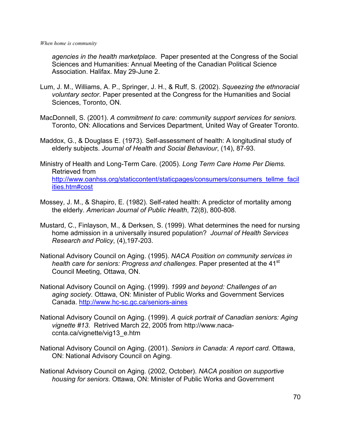*agencies in the health marketplace*. Paper presented at the Congress of the Social Sciences and Humanities: Annual Meeting of the Canadian Political Science Association. Halifax. May 29-June 2.

- Lum, J. M., Williams, A. P., Springer, J. H., & Ruff, S. (2002). *Squeezing the ethnoracial voluntary sector*. Paper presented at the Congress for the Humanities and Social Sciences, Toronto, ON.
- MacDonnell, S. (2001). *A commitment to care: community support services for seniors*. Toronto, ON: Allocations and Services Department, United Way of Greater Toronto.
- Maddox, G., & Douglass E. (1973). Self-assessment of health: A longitudinal study of elderly subjects. *Journal of Health and Social Behaviour*, (14), 87-93.
- Ministry of Health and Long-Term Care. (2005). *Long Term Care Home Per Diems.*  Retrieved from http://www.oanhss.org/staticcontent/staticpages/consumers/consumers\_tellme\_facil ities.htm#cost
- Mossey, J. M., & Shapiro, E. (1982). Self-rated health: A predictor of mortality among the elderly. *American Journal of Public Health*, 72(8), 800-808.
- Mustard, C., Finlayson, M., & Derksen, S. (1999). What determines the need for nursing home admission in a universally insured population? *Journal of Health Services Research and Policy*, (4),197-203.
- National Advisory Council on Aging. (1995). *NACA Position on community services in health care for seniors: Progress and challenges. Paper presented at the 41<sup>st</sup>* Council Meeting, Ottawa, ON.
- National Advisory Council on Aging. (1999). *1999 and beyond: Challenges of an aging society*. Ottawa, ON: Minister of Public Works and Government Services Canada. <http://www.hc-sc.gc.ca/seniors-aines>
- National Advisory Council on Aging. (1999). *A quick portrait of Canadian seniors: Aging vignette #13*. Retrived March 22, 2005 from http://www.nacaccnta.ca/vignette/vig13\_e.htm
- National Advisory Council on Aging. (2001). *Seniors in Canada: A report card*. Ottawa, ON: National Advisory Council on Aging.
- National Advisory Council on Aging. (2002, October). *NACA position on supportive housing for seniors*. Ottawa, ON: Minister of Public Works and Government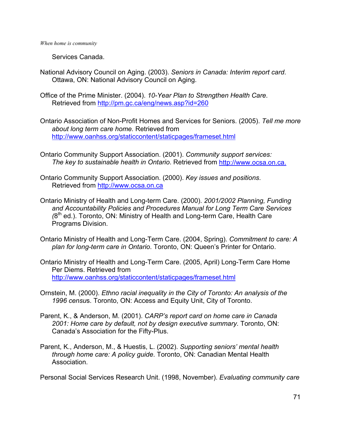Services Canada.

- National Advisory Council on Aging. (2003). *Seniors in Canada: Interim report card*. Ottawa, ON: National Advisory Council on Aging.
- Office of the Prime Minister. (2004). *10-Year Plan to Strengthen Health Care*. Retrieved from<http://pm.gc.ca/eng/news.asp?id=260>
- Ontario Association of Non-Profit Homes and Services for Seniors. (2005). *Tell me more about long term care home.* Retrieved from <http://www.oanhss.org/staticcontent/staticpages/frameset.html>
- Ontario Community Support Association. (2001). *Community support services: The key to sustainable health in Ontario*. Retrieved from [http://www.ocsa.on.ca.](http://www.ocsa.on.ca./)
- Ontario Community Support Association. (2000). *Key issues and positions*. Retrieved from [http://www.ocsa.on.ca](http://www.ocsa.on.ca/)
- Ontario Ministry of Health and Long-term Care. (2000). *2001/2002 Planning, Funding and Accountability Policies and Procedures Manual for Long Term Care Services (*8th ed.). Toronto, ON: Ministry of Health and Long-term Care, Health Care Programs Division.
- Ontario Ministry of Health and Long-Term Care. (2004, Spring). *Commitment to care: A plan for long-term care in Ontario*. Toronto, ON: Queen's Printer for Ontario.
- Ontario Ministry of Health and Long-Term Care. (2005, April) Long-Term Care Home Per Diems. Retrieved from <http://www.oanhss.org/staticcontent/staticpages/frameset.html>
- Ornstein, M. (2000). *Ethno racial inequality in the City of Toronto: An analysis of the 1996 censu*s. Toronto, ON: Access and Equity Unit, City of Toronto.
- Parent, K., & Anderson, M. (2001). *CARP's report card on home care in Canada 2001: Home care by default, not by design executive summary*. Toronto, ON: Canada's Association for the Fifty-Plus.
- Parent, K., Anderson, M., & Huestis, L. (2002). *Supporting seniors' mental health through home care: A policy guide*. Toronto, ON: Canadian Mental Health Association.

Personal Social Services Research Unit. (1998, November). *Evaluating community care*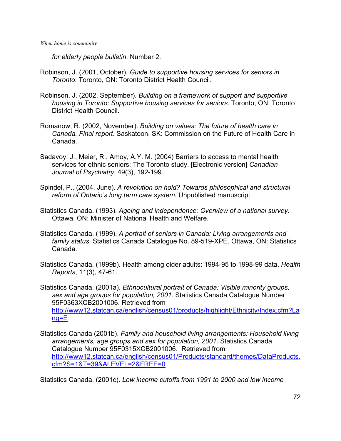*for elderly people bulletin*. Number 2.

- Robinson, J. (2001, October). *Guide to supportive housing services for seniors in Toronto*. Toronto, ON: Toronto District Health Council.
- Robinson, J. (2002, September). *Building on a framework of support and supportive housing in Toronto: Supportive housing services for seniors*. Toronto, ON: Toronto District Health Council.
- Romanow, R. (2002, November). *Building on values: The future of health care in Canada. Final report*. Saskatoon, SK: Commission on the Future of Health Care in Canada.
- Sadavoy, J., Meier, R., Amoy, A.Y. M. (2004) Barriers to access to mental health services for ethnic seniors: The Toronto study. [Electronic version] *Canadian Journal of Psychiatry*, 49(3), 192-199.
- Spindel, P., (2004, June). *A revolution on hold? Towards philosophical and structural reform of Ontario's long term care system*. Unpublished manuscript.
- Statistics Canada. (1993). *Ageing and independence: Overview of a national survey*. Ottawa, ON: Minister of National Health and Welfare.
- Statistics Canada. (1999). *A portrait of seniors in Canada: Living arrangements and family status*. Statistics Canada Catalogue No. 89-519-XPE. Ottawa, ON: Statistics Canada.
- Statistics Canada. (1999b). Health among older adults: 1994-95 to 1998-99 data. *Health Reports*, 11(3), 47-61.
- Statistics Canada. (2001a). *Ethnocultural portrait of Canada: Visible minority groups, sex and age groups for population, 2001*. Statistics Canada Catalogue Number 95F0363XCB2001006. Retrieved from [http://www12.statcan.ca/english/census01/products/highlight/Ethnicity/Index.cfm?La](http://www12.statcan.ca/english/census01/products/highlight/Ethnicity/Index.cfm?Lang=E) [ng=E](http://www12.statcan.ca/english/census01/products/highlight/Ethnicity/Index.cfm?Lang=E)
- Statistics Canada (2001b). *Family and household living arrangements: Household living arrangements, age groups and sex for population, 2001*. Statistics Canada Catalogue Number 95F0315XCB2001006. Retrieved from [http://www12.statcan.ca/english/census01/Products/standard/themes/DataProducts.](http://www12.statcan.ca/english/census01/Products/standard/themes/DataProducts) [cfm?S=1&T=39&ALEVEL=2&FREE=0](http://www12.statcan.ca/english/census01/Products/standard/themes/DataProducts)

Statistics Canada. (2001c). *Low income cutoffs from 1991 to 2000 and low income*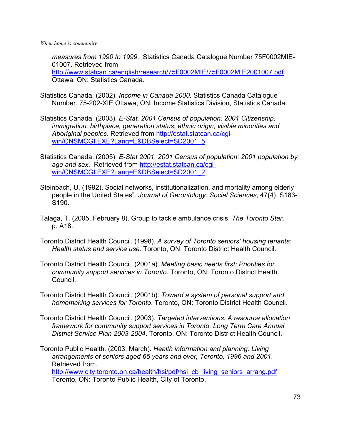*measures from 1990 to 1999*. Statistics Canada Catalogue Number 75F0002MIE-01007. Retrieved from <http://www.statcan.ca/english/research/75F0002MIE/75F0002MIE2001007.pdf> Ottawa, ON: Statistics Canada.

- Statistics Canada. (2002). *Income in Canada 2000*. Statistics Canada Catalogue Number. 75-202-XIE Ottawa, ON: Income Statistics Division, Statistics Canada.
- Statistics Canada. (2003). *E-Stat, 2001 Census of population: 2001 Citizenship, immigration, birthplace, generation status, ethnic origin, visible minorities and Aboriginal peoples*. Retrieved from [http://estat.statcan.ca/cgi](http://estat.statcan.ca/cgi-win/CNSMCGI.EXE?Lang=E&DBSelect=SD2001_5)[win/CNSMCGI.EXE?Lang=E&DBSelect=SD2001\\_5](http://estat.statcan.ca/cgi-win/CNSMCGI.EXE?Lang=E&DBSelect=SD2001_5)
- Statistics Canada. (2005). *E-Stat 2001, 2001 Census of population: 2001 population by age and sex*. Retrieved from [http://estat.statcan.ca/cgi](http://estat.statcan.ca/cgi-win/CNSMCGI.EXE?Lang=E&DBSelect=SD2001_2)[win/CNSMCGI.EXE?Lang=E&DBSelect=SD2001\\_2](http://estat.statcan.ca/cgi-win/CNSMCGI.EXE?Lang=E&DBSelect=SD2001_2)
- Steinbach, U. (1992). Social networks, institutionalization, and mortality among elderly people in the United States". *Journal of Gerontology: Social Sciences*, 47(4), S183- S190.
- Talaga, T. (2005, February 8). Group to tackle ambulance crisis. *The Toronto Star*, p. A18.
- Toronto District Health Council. (1998). *A survey of Toronto seniors' housing tenants: Health status and service use*. Toronto, ON: Toronto District Health Council.
- Toronto District Health Council. (2001a). *Meeting basic needs first: Priorities for community support services in Toronto*. Toronto, ON: Toronto District Health Council.
- Toronto District Health Council. (2001b). *Toward a system of personal support and homemaking services for Toronto*. Toronto, ON: Toronto District Health Council.
- Toronto District Health Council. (2003). *Targeted interventions: A resource allocation framework for community support services in Toronto. Long Term Care Annual District Service Plan 2003-2004*. Toronto, ON: Toronto District Health Council.
- Toronto Public Health. (2003, March). *Health information and planning: Living arrangements of seniors aged 65 years and over, Toronto, 1996 and 2001*. Retrieved from, [http://www.city.toronto.on.ca/health/hsi/pdf/hsi\\_cb\\_living\\_seniors\\_arrang.pdf](http://www.city.toronto.on.ca/health/hsi/pdf/hsi_cb_living_seniors_arrang.pdf) Toronto, ON: Toronto Public Health, City of Toronto.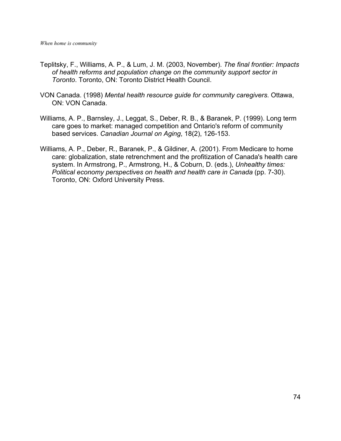- Teplitsky, F., Williams, A. P., & Lum, J. M. (2003, November). *The final frontier: Impacts of health reforms and population change on the community support sector in Toronto*. Toronto, ON: Toronto District Health Council.
- VON Canada. (1998) *Mental health resource guide for community caregivers*. Ottawa, ON: VON Canada.
- Williams, A. P., Barnsley, J., Leggat, S., Deber, R. B., & Baranek, P. (1999). Long term care goes to market: managed competition and Ontario's reform of community based services. *Canadian Journal on Aging*, 18(2), 126-153.
- Williams, A. P., Deber, R., Baranek, P., & Gildiner, A. (2001). From Medicare to home care: globalization, state retrenchment and the profitization of Canada's health care system. In Armstrong, P., Armstrong, H., & Coburn, D. (eds.), *Unhealthy times: Political economy perspectives on health and health care in Canada* (pp. 7-30). Toronto, ON: Oxford University Press.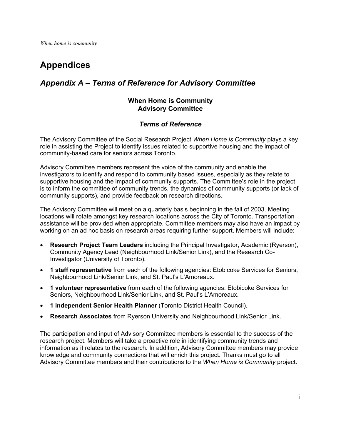# **Appendices**

# *Appendix A – Terms of Reference for Advisory Committee*

#### **When Home is Community Advisory Committee**

#### *Terms of Reference*

The Advisory Committee of the Social Research Project *When Home is Community* plays a key role in assisting the Project to identify issues related to supportive housing and the impact of community-based care for seniors across Toronto.

Advisory Committee members represent the voice of the community and enable the investigators to identify and respond to community based issues, especially as they relate to supportive housing and the impact of community supports. The Committee's role in the project is to inform the committee of community trends, the dynamics of community supports (or lack of community supports), and provide feedback on research directions.

The Advisory Committee will meet on a quarterly basis beginning in the fall of 2003. Meeting locations will rotate amongst key research locations across the City of Toronto. Transportation assistance will be provided when appropriate. Committee members may also have an impact by working on an ad hoc basis on research areas requiring further support. Members will include:

- **Research Project Team Leaders** including the Principal Investigator, Academic (Ryerson), Community Agency Lead (Neighbourhood Link/Senior Link), and the Research Co-Investigator (University of Toronto).
- **1 staff representative** from each of the following agencies: Etobicoke Services for Seniors, Neighbourhood Link/Senior Link, and St. Paul's L'Amoreaux.
- **1 volunteer representative** from each of the following agencies: Etobicoke Services for Seniors, Neighbourhood Link/Senior Link, and St. Paul's L'Amoreaux.
- **1 independent Senior Health Planner** (Toronto District Health Council).
- **Research Associates** from Ryerson University and Neighbourhood Link/Senior Link.

The participation and input of Advisory Committee members is essential to the success of the research project. Members will take a proactive role in identifying community trends and information as it relates to the research. In addition, Advisory Committee members may provide knowledge and community connections that will enrich this project. Thanks must go to all Advisory Committee members and their contributions to the *When Home is Community* project.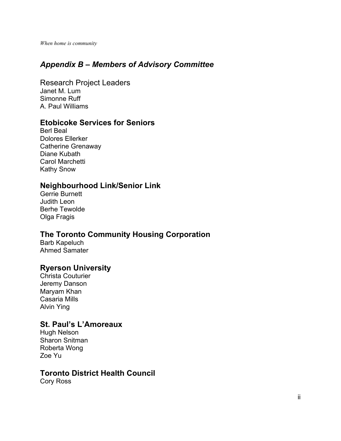# *Appendix B – Members of Advisory Committee*

Research Project Leaders Janet M. Lum Simonne Ruff A. Paul Williams

#### **Etobicoke Services for Seniors**

Berl Beal Dolores Ellerker Catherine Grenaway Diane Kubath Carol Marchetti Kathy Snow

### **Neighbourhood Link/Senior Link**

Gerrie Burnett Judith Leon Berhe Tewolde Olga Fragis

# **The Toronto Community Housing Corporation**

Barb Kapeluch Ahmed Samater

#### **Ryerson University**

Christa Couturier Jeremy Danson Maryam Khan Casaria Mills Alvin Ying

### **St. Paul's L'Amoreaux**

Hugh Nelson Sharon Snitman Roberta Wong Zoe Yu

#### **Toronto District Health Council**

Cory Ross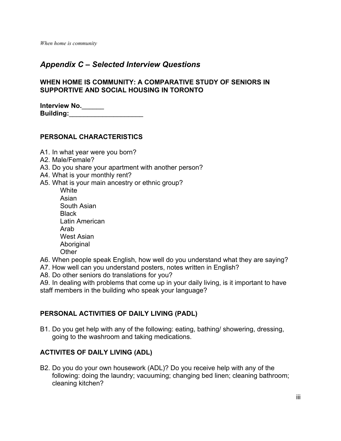### *Appendix C – Selected Interview Questions*

#### **WHEN HOME IS COMMUNITY: A COMPARATIVE STUDY OF SENIORS IN SUPPORTIVE AND SOCIAL HOUSING IN TORONTO**

| <b>Interview No.</b> |  |
|----------------------|--|
| <b>Building:</b>     |  |

#### **PERSONAL CHARACTERISTICS**

- A1. In what year were you born?
- A2. Male/Female?
- A3. Do you share your apartment with another person?
- A4. What is your monthly rent?
- A5. What is your main ancestry or ethnic group?
	- **White** Asian South Asian **Black** Latin American Arab West Asian Aboriginal **Other**
- A6. When people speak English, how well do you understand what they are saying?
- A7. How well can you understand posters, notes written in English?
- A8. Do other seniors do translations for you?

A9. In dealing with problems that come up in your daily living, is it important to have staff members in the building who speak your language?

#### **PERSONAL ACTIVITIES OF DAILY LIVING (PADL)**

B1. Do you get help with any of the following: eating, bathing/ showering, dressing, going to the washroom and taking medications.

#### **ACTIVITES OF DAILY LIVING (ADL)**

B2. Do you do your own housework (ADL)? Do you receive help with any of the following: doing the laundry; vacuuming; changing bed linen; cleaning bathroom; cleaning kitchen?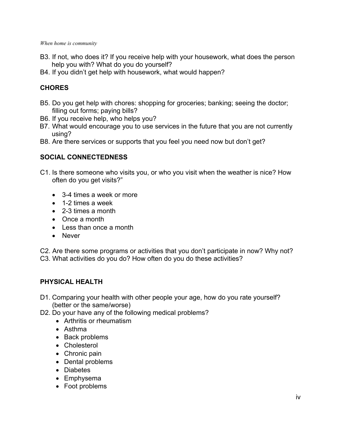- B3. If not, who does it? If you receive help with your housework, what does the person help you with? What do you do yourself?
- B4. If you didn't get help with housework, what would happen?

## **CHORES**

- B5. Do you get help with chores: shopping for groceries; banking; seeing the doctor; filling out forms; paying bills?
- B6. If you receive help, who helps you?
- B7. What would encourage you to use services in the future that you are not currently using?
- B8. Are there services or supports that you feel you need now but don't get?

#### **SOCIAL CONNECTEDNESS**

- C1. Is there someone who visits you, or who you visit when the weather is nice? How often do you get visits?"
	- 3-4 times a week or more
	- 1-2 times a week
	- 2-3 times a month
	- Once a month
	- Less than once a month
	- Never

C2. Are there some programs or activities that you don't participate in now? Why not? C3. What activities do you do? How often do you do these activities?

#### **PHYSICAL HEALTH**

- D1. Comparing your health with other people your age, how do you rate yourself? (better or the same/worse)
- D2. Do your have any of the following medical problems?
	- Arthritis or rheumatism
	- Asthma
	- Back problems
	- Cholesterol
	- Chronic pain
	- Dental problems
	- Diabetes
	- Emphysema
	- Foot problems